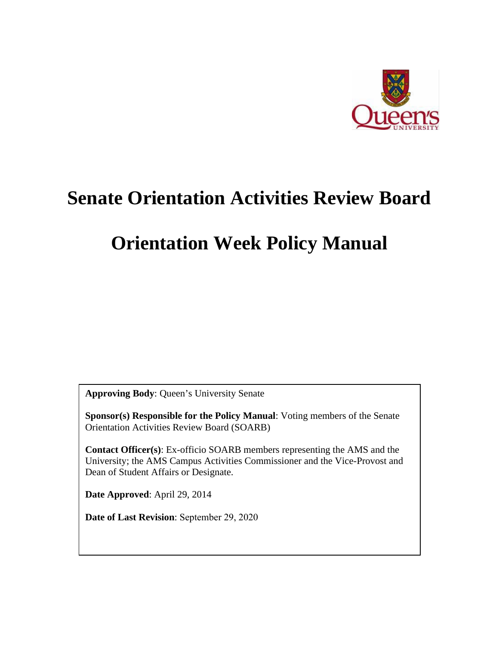

# **Senate Orientation Activities Review Board**

# **Orientation Week Policy Manual**

**Approving Body**: Queen's University Senate

**Sponsor(s) Responsible for the Policy Manual**: Voting members of the Senate Orientation Activities Review Board (SOARB)

**Contact Officer(s)**: Ex-officio SOARB members representing the AMS and the University; the AMS Campus Activities Commissioner and the Vice-Provost and Dean of Student Affairs or Designate.

**Date Approved**: April 29, 2014

**Date of Last Revision**: September 29, 2020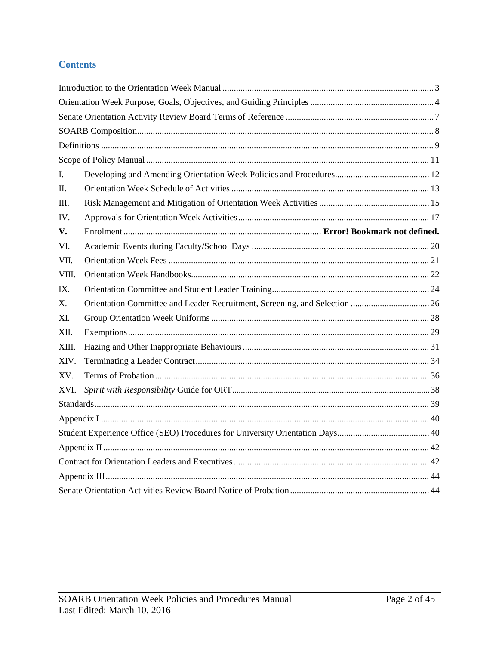# **Contents**

| I.    |  |  |
|-------|--|--|
| П.    |  |  |
| Ш.    |  |  |
| IV.   |  |  |
| V.    |  |  |
| VI.   |  |  |
| VII.  |  |  |
| VIII. |  |  |
| IX.   |  |  |
| X.    |  |  |
| XI.   |  |  |
| XII.  |  |  |
| XIII. |  |  |
| XIV.  |  |  |
| XV.   |  |  |
| XVI.  |  |  |
|       |  |  |
|       |  |  |
|       |  |  |
|       |  |  |
|       |  |  |
|       |  |  |
|       |  |  |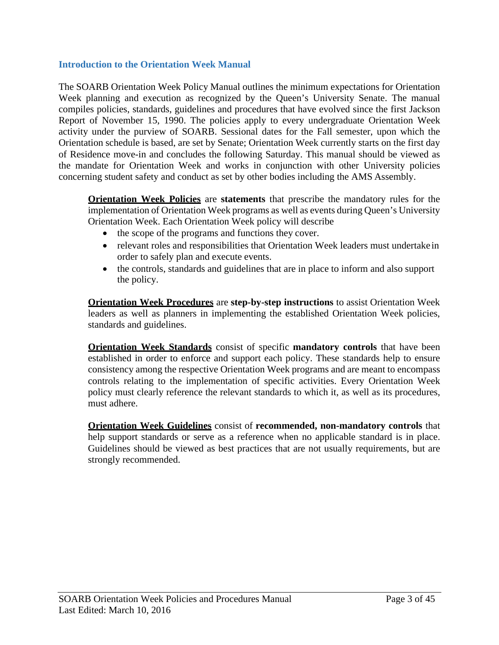## <span id="page-2-0"></span>**Introduction to the Orientation Week Manual**

The SOARB Orientation Week Policy Manual outlines the minimum expectations for Orientation Week planning and execution as recognized by the Queen's University Senate. The manual compiles policies, standards, guidelines and procedures that have evolved since the first Jackson Report of November 15, 1990. The policies apply to every undergraduate Orientation Week activity under the purview of SOARB. Sessional dates for the Fall semester, upon which the Orientation schedule is based, are set by Senate; Orientation Week currently starts on the first day of Residence move-in and concludes the following Saturday. This manual should be viewed as the mandate for Orientation Week and works in conjunction with other University policies concerning student safety and conduct as set by other bodies including the AMS Assembly.

**Orientation Week Policies** are **statements** that prescribe the mandatory rules for the implementation of Orientation Week programs as well as events during Queen's University Orientation Week. Each Orientation Week policy will describe

- the scope of the programs and functions they cover.
- relevant roles and responsibilities that Orientation Week leaders must undertake in order to safely plan and execute events.
- the controls, standards and guidelines that are in place to inform and also support the policy.

**Orientation Week Procedures** are **step-by-step instructions** to assist Orientation Week leaders as well as planners in implementing the established Orientation Week policies, standards and guidelines.

**Orientation Week Standards** consist of specific **mandatory controls** that have been established in order to enforce and support each policy. These standards help to ensure consistency among the respective Orientation Week programs and are meant to encompass controls relating to the implementation of specific activities. Every Orientation Week policy must clearly reference the relevant standards to which it, as well as its procedures, must adhere.

**Orientation Week Guidelines** consist of **recommended, non-mandatory controls** that help support standards or serve as a reference when no applicable standard is in place. Guidelines should be viewed as best practices that are not usually requirements, but are strongly recommended.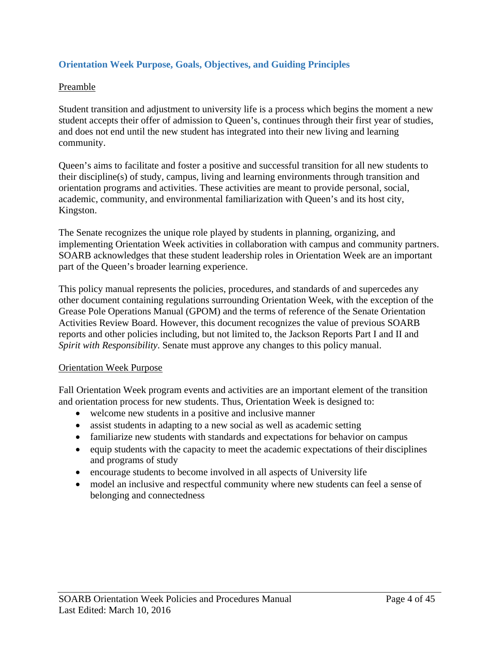# <span id="page-3-0"></span>**Orientation Week Purpose, Goals, Objectives, and Guiding Principles**

#### Preamble

Student transition and adjustment to university life is a process which begins the moment a new student accepts their offer of admission to Queen's, continues through their first year of studies, and does not end until the new student has integrated into their new living and learning community.

Queen's aims to facilitate and foster a positive and successful transition for all new students to their discipline(s) of study, campus, living and learning environments through transition and orientation programs and activities. These activities are meant to provide personal, social, academic, community, and environmental familiarization with Queen's and its host city, Kingston.

The Senate recognizes the unique role played by students in planning, organizing, and implementing Orientation Week activities in collaboration with campus and community partners. SOARB acknowledges that these student leadership roles in Orientation Week are an important part of the Queen's broader learning experience.

This policy manual represents the policies, procedures, and standards of and supercedes any other document containing regulations surrounding Orientation Week, with the exception of the Grease Pole Operations Manual (GPOM) and the terms of reference of the Senate Orientation Activities Review Board. However, this document recognizes the value of previous SOARB reports and other policies including, but not limited to, the Jackson Reports Part I and II and *Spirit with Responsibility*. Senate must approve any changes to this policy manual.

#### Orientation Week Purpose

Fall Orientation Week program events and activities are an important element of the transition and orientation process for new students. Thus, Orientation Week is designed to:

- welcome new students in a positive and inclusive manner
- assist students in adapting to a new social as well as academic setting
- familiarize new students with standards and expectations for behavior on campus
- equip students with the capacity to meet the academic expectations of their disciplines and programs of study
- encourage students to become involved in all aspects of University life
- model an inclusive and respectful community where new students can feel a sense of belonging and connectedness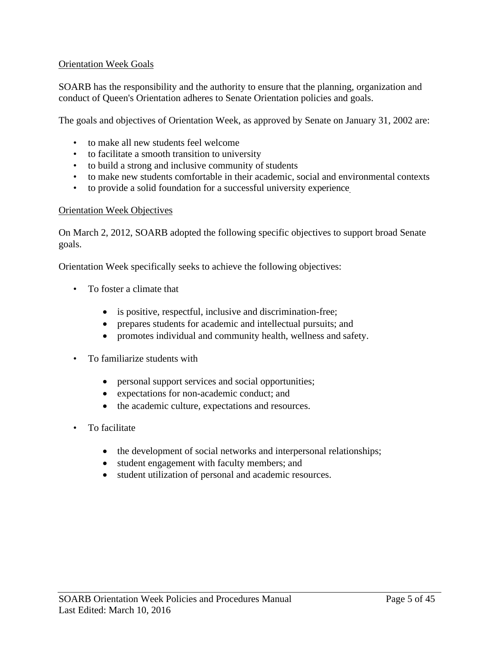### Orientation Week Goals

SOARB has the responsibility and the authority to ensure that the planning, organization and conduct of Queen's Orientation adheres to Senate Orientation policies and goals.

The goals and objectives of Orientation Week, as approved by Senate on January 31, 2002 are:

- to make all new students feel welcome
- to facilitate a smooth transition to university
- to build a strong and inclusive community of students
- to make new students comfortable in their academic, social and environmental contexts
- to provide a solid foundation for a successful university experience

#### Orientation Week Objectives

On March 2, 2012, SOARB adopted the following specific objectives to support broad Senate goals.

Orientation Week specifically seeks to achieve the following objectives:

- To foster a climate that
	- is positive, respectful, inclusive and discrimination-free;
	- prepares students for academic and intellectual pursuits; and
	- promotes individual and community health, wellness and safety.
- To familiarize students with
	- personal support services and social opportunities;
	- expectations for non-academic conduct; and
	- the academic culture, expectations and resources.
- To facilitate
	- the development of social networks and interpersonal relationships;
	- student engagement with faculty members; and
	- student utilization of personal and academic resources.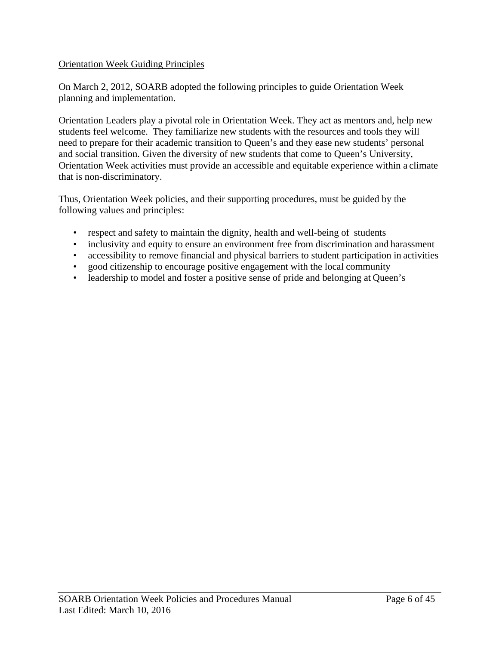## Orientation Week Guiding Principles

On March 2, 2012, SOARB adopted the following principles to guide Orientation Week planning and implementation.

Orientation Leaders play a pivotal role in Orientation Week. They act as mentors and, help new students feel welcome. They familiarize new students with the resources and tools they will need to prepare for their academic transition to Queen's and they ease new students' personal and social transition. Given the diversity of new students that come to Queen's University, Orientation Week activities must provide an accessible and equitable experience within a climate that is non-discriminatory.

Thus, Orientation Week policies, and their supporting procedures, must be guided by the following values and principles:

- respect and safety to maintain the dignity, health and well-being of students
- inclusivity and equity to ensure an environment free from discrimination and harassment
- accessibility to remove financial and physical barriers to student participation in activities
- good citizenship to encourage positive engagement with the local community
- leadership to model and foster a positive sense of pride and belonging at Queen's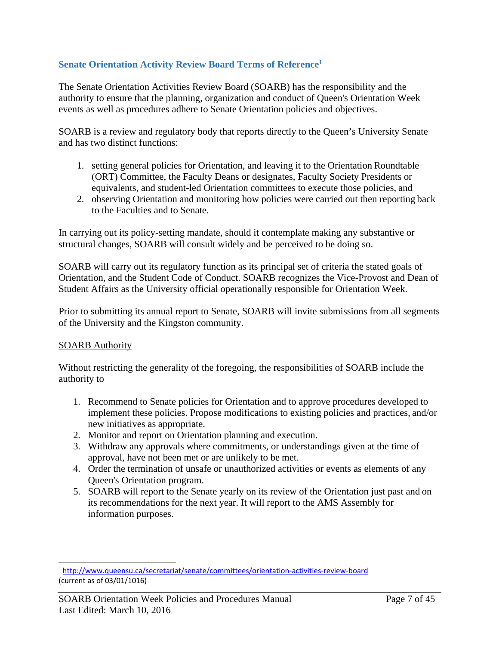# <span id="page-6-0"></span>**Senate Orientation Activity Review Board Terms of Reference1**

The Senate Orientation Activities Review Board (SOARB) has the responsibility and the authority to ensure that the planning, organization and conduct of Queen's Orientation Week events as well as procedures adhere to Senate Orientation policies and objectives.

SOARB is a review and regulatory body that reports directly to the Queen's University Senate and has two distinct functions:

- 1. setting general policies for Orientation, and leaving it to the Orientation Roundtable (ORT) Committee, the Faculty Deans or designates, Faculty Society Presidents or equivalents, and student-led Orientation committees to execute those policies, and
- 2. observing Orientation and monitoring how policies were carried out then reporting back to the Faculties and to Senate.

In carrying out its policy-setting mandate, should it contemplate making any substantive or structural changes, SOARB will consult widely and be perceived to be doing so.

SOARB will carry out its regulatory function as its principal set of criteria the stated goals of Orientation, and the Student Code of Conduct. SOARB recognizes the Vice-Provost and Dean of Student Affairs as the University official operationally responsible for Orientation Week.

Prior to submitting its annual report to Senate, SOARB will invite submissions from all segments of the University and the Kingston community.

## SOARB Authority

Without restricting the generality of the foregoing, the responsibilities of SOARB include the authority to

- 1. Recommend to Senate policies for Orientation and to approve procedures developed to implement these policies. Propose modifications to existing policies and practices, and/or new initiatives as appropriate.
- 2. Monitor and report on Orientation planning and execution.
- 3. Withdraw any approvals where commitments, or understandings given at the time of approval, have not been met or are unlikely to be met.
- 4. Order the termination of unsafe or unauthorized activities or events as elements of any Queen's Orientation program.
- 5. SOARB will report to the Senate yearly on its review of the Orientation just past and on its recommendations for the next year. It will report to the AMS Assembly for information purposes.

<sup>1</sup><http://www.queensu.ca/secretariat/senate/committees/orientation-activities-review-board> (current as of 03/01/1016)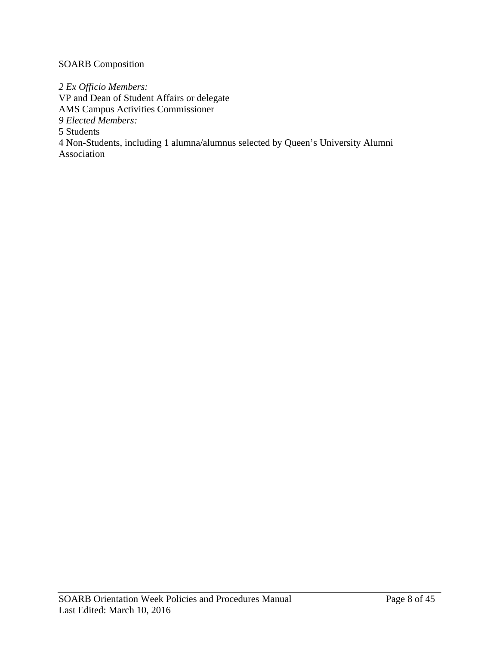# <span id="page-7-0"></span>SOARB Composition

*2 Ex Officio Members:* VP and Dean of Student Affairs or delegate AMS Campus Activities Commissioner *9 Elected Members:* 5 Students 4 Non-Students, including 1 alumna/alumnus selected by Queen's University Alumni Association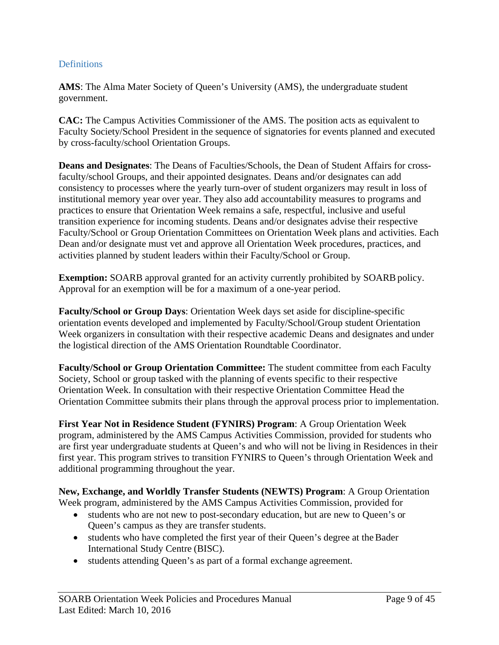### <span id="page-8-0"></span>**Definitions**

**AMS**: The Alma Mater Society of Queen's University (AMS), the undergraduate student government.

**CAC:** The Campus Activities Commissioner of the AMS. The position acts as equivalent to Faculty Society/School President in the sequence of signatories for events planned and executed by cross-faculty/school Orientation Groups.

**Deans and Designates**: The Deans of Faculties/Schools, the Dean of Student Affairs for crossfaculty/school Groups, and their appointed designates. Deans and/or designates can add consistency to processes where the yearly turn-over of student organizers may result in loss of institutional memory year over year. They also add accountability measures to programs and practices to ensure that Orientation Week remains a safe, respectful, inclusive and useful transition experience for incoming students. Deans and/or designates advise their respective Faculty/School or Group Orientation Committees on Orientation Week plans and activities. Each Dean and/or designate must vet and approve all Orientation Week procedures, practices, and activities planned by student leaders within their Faculty/School or Group.

**Exemption:** SOARB approval granted for an activity currently prohibited by SOARB policy. Approval for an exemption will be for a maximum of a one-year period.

**Faculty/School or Group Days**: Orientation Week days set aside for discipline-specific orientation events developed and implemented by Faculty/School/Group student Orientation Week organizers in consultation with their respective academic Deans and designates and under the logistical direction of the AMS Orientation Roundtable Coordinator.

**Faculty/School or Group Orientation Committee:** The student committee from each Faculty Society, School or group tasked with the planning of events specific to their respective Orientation Week. In consultation with their respective Orientation Committee Head the Orientation Committee submits their plans through the approval process prior to implementation.

**First Year Not in Residence Student (FYNIRS) Program**: A Group Orientation Week program, administered by the AMS Campus Activities Commission, provided for students who are first year undergraduate students at Queen's and who will not be living in Residences in their first year. This program strives to transition FYNIRS to Queen's through Orientation Week and additional programming throughout the year.

**New, Exchange, and Worldly Transfer Students (NEWTS) Program**: A Group Orientation Week program, administered by the AMS Campus Activities Commission, provided for

- students who are not new to post-secondary education, but are new to Queen's or Queen's campus as they are transfer students.
- students who have completed the first year of their Queen's degree at the Bader International Study Centre (BISC).
- students attending Queen's as part of a formal exchange agreement.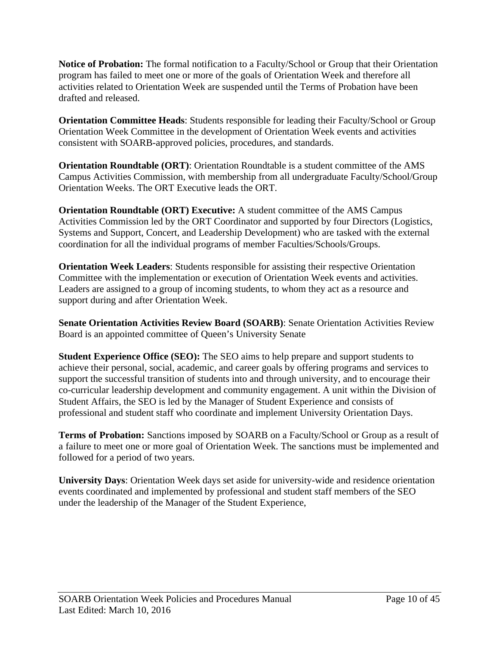**Notice of Probation:** The formal notification to a Faculty/School or Group that their Orientation program has failed to meet one or more of the goals of Orientation Week and therefore all activities related to Orientation Week are suspended until the Terms of Probation have been drafted and released.

**Orientation Committee Heads**: Students responsible for leading their Faculty/School or Group Orientation Week Committee in the development of Orientation Week events and activities consistent with SOARB-approved policies, procedures, and standards.

**Orientation Roundtable (ORT)**: Orientation Roundtable is a student committee of the AMS Campus Activities Commission, with membership from all undergraduate Faculty/School/Group Orientation Weeks. The ORT Executive leads the ORT.

**Orientation Roundtable (ORT) Executive:** A student committee of the AMS Campus Activities Commission led by the ORT Coordinator and supported by four Directors (Logistics, Systems and Support, Concert, and Leadership Development) who are tasked with the external coordination for all the individual programs of member Faculties/Schools/Groups.

**Orientation Week Leaders**: Students responsible for assisting their respective Orientation Committee with the implementation or execution of Orientation Week events and activities. Leaders are assigned to a group of incoming students, to whom they act as a resource and support during and after Orientation Week.

**Senate Orientation Activities Review Board (SOARB)**: Senate Orientation Activities Review Board is an appointed committee of Queen's University Senate

**Student Experience Office (SEO):** The SEO aims to help prepare and support students to achieve their personal, social, academic, and career goals by offering programs and services to support the successful transition of students into and through university, and to encourage their co-curricular leadership development and community engagement. A unit within the Division of Student Affairs, the SEO is led by the Manager of Student Experience and consists of professional and student staff who coordinate and implement University Orientation Days.

**Terms of Probation:** Sanctions imposed by SOARB on a Faculty/School or Group as a result of a failure to meet one or more goal of Orientation Week. The sanctions must be implemented and followed for a period of two years.

**University Days**: Orientation Week days set aside for university-wide and residence orientation events coordinated and implemented by professional and student staff members of the SEO under the leadership of the Manager of the Student Experience,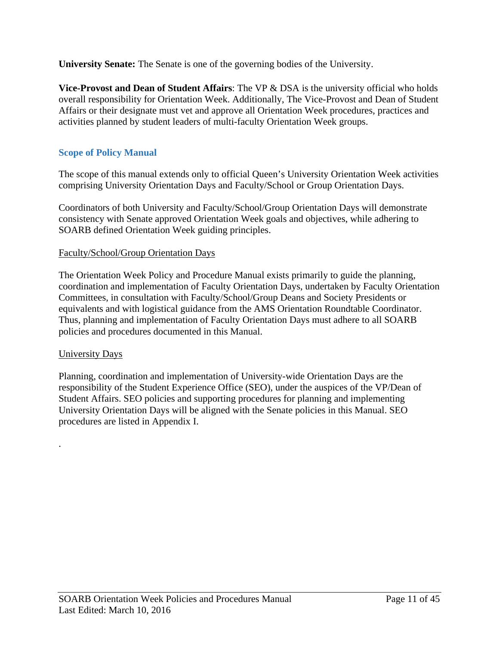**University Senate:** The Senate is one of the governing bodies of the University.

**Vice-Provost and Dean of Student Affairs**: The VP & DSA is the university official who holds overall responsibility for Orientation Week. Additionally, The Vice-Provost and Dean of Student Affairs or their designate must vet and approve all Orientation Week procedures, practices and activities planned by student leaders of multi-faculty Orientation Week groups.

# <span id="page-10-0"></span>**Scope of Policy Manual**

The scope of this manual extends only to official Queen's University Orientation Week activities comprising University Orientation Days and Faculty/School or Group Orientation Days.

Coordinators of both University and Faculty/School/Group Orientation Days will demonstrate consistency with Senate approved Orientation Week goals and objectives, while adhering to SOARB defined Orientation Week guiding principles.

## Faculty/School/Group Orientation Days

The Orientation Week Policy and Procedure Manual exists primarily to guide the planning, coordination and implementation of Faculty Orientation Days, undertaken by Faculty Orientation Committees, in consultation with Faculty/School/Group Deans and Society Presidents or equivalents and with logistical guidance from the AMS Orientation Roundtable Coordinator. Thus, planning and implementation of Faculty Orientation Days must adhere to all SOARB policies and procedures documented in this Manual.

## University Days

.

Planning, coordination and implementation of University-wide Orientation Days are the responsibility of the Student Experience Office (SEO), under the auspices of the VP/Dean of Student Affairs. SEO policies and supporting procedures for planning and implementing University Orientation Days will be aligned with the Senate policies in this Manual. SEO procedures are listed in Appendix I.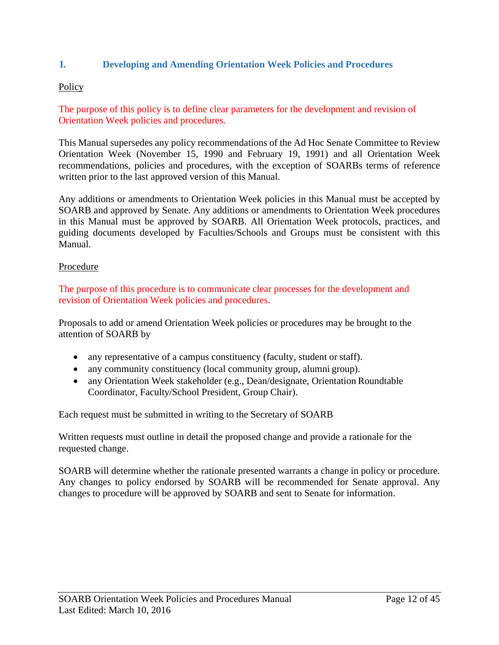## <span id="page-11-0"></span>**I. Developing and Amending Orientation Week Policies and Procedures**

## **Policy**

The purpose of this policy is to define clear parameters for the development and revision of Orientation Week policies and procedures.

This Manual supersedes any policy recommendations of the Ad Hoc Senate Committee to Review Orientation Week (November 15, 1990 and February 19, 1991) and all Orientation Week recommendations, policies and procedures, with the exception of SOARBs terms of reference written prior to the last approved version of this Manual.

Any additions or amendments to Orientation Week policies in this Manual must be accepted by SOARB and approved by Senate. Any additions or amendments to Orientation Week procedures in this Manual must be approved by SOARB. All Orientation Week protocols, practices, and guiding documents developed by Faculties/Schools and Groups must be consistent with this Manual.

#### Procedure

The purpose of this procedure is to communicate clear processes for the development and revision of Orientation Week policies and procedures.

Proposals to add or amend Orientation Week policies or procedures may be brought to the attention of SOARB by

- any representative of a campus constituency (faculty, student or staff).
- any community constituency (local community group, alumni group).
- any Orientation Week stakeholder (e.g., Dean/designate, Orientation Roundtable Coordinator, Faculty/School President, Group Chair).

Each request must be submitted in writing to the Secretary of SOARB

Written requests must outline in detail the proposed change and provide a rationale for the requested change.

SOARB will determine whether the rationale presented warrants a change in policy or procedure. Any changes to policy endorsed by SOARB will be recommended for Senate approval. Any changes to procedure will be approved by SOARB and sent to Senate for information.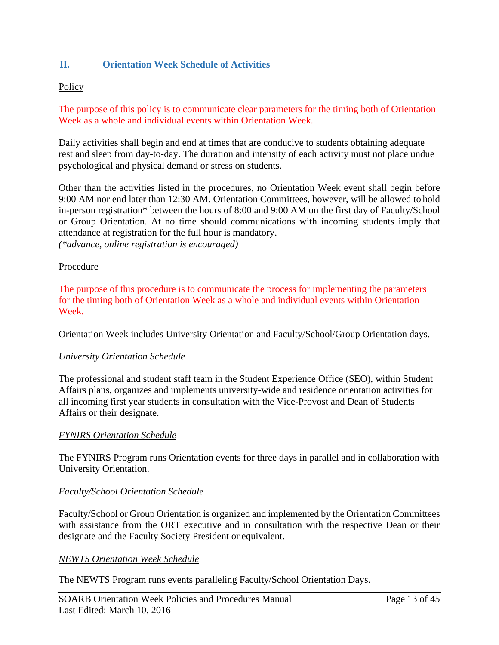## <span id="page-12-0"></span>**II. Orientation Week Schedule of Activities**

### **Policy**

The purpose of this policy is to communicate clear parameters for the timing both of Orientation Week as a whole and individual events within Orientation Week.

Daily activities shall begin and end at times that are conducive to students obtaining adequate rest and sleep from day-to-day. The duration and intensity of each activity must not place undue psychological and physical demand or stress on students.

Other than the activities listed in the procedures, no Orientation Week event shall begin before 9:00 AM nor end later than 12:30 AM. Orientation Committees, however, will be allowed to hold in-person registration\* between the hours of 8:00 and 9:00 AM on the first day of Faculty/School or Group Orientation. At no time should communications with incoming students imply that attendance at registration for the full hour is mandatory.

*(\*advance, online registration is encouraged)*

#### Procedure

The purpose of this procedure is to communicate the process for implementing the parameters for the timing both of Orientation Week as a whole and individual events within Orientation Week.

Orientation Week includes University Orientation and Faculty/School/Group Orientation days.

#### *University Orientation Schedule*

The professional and student staff team in the Student Experience Office (SEO), within Student Affairs plans, organizes and implements university-wide and residence orientation activities for all incoming first year students in consultation with the Vice-Provost and Dean of Students Affairs or their designate.

#### *FYNIRS Orientation Schedule*

The FYNIRS Program runs Orientation events for three days in parallel and in collaboration with University Orientation.

#### *Faculty/School Orientation Schedule*

Faculty/School or Group Orientation is organized and implemented by the Orientation Committees with assistance from the ORT executive and in consultation with the respective Dean or their designate and the Faculty Society President or equivalent.

#### *NEWTS Orientation Week Schedule*

The NEWTS Program runs events paralleling Faculty/School Orientation Days.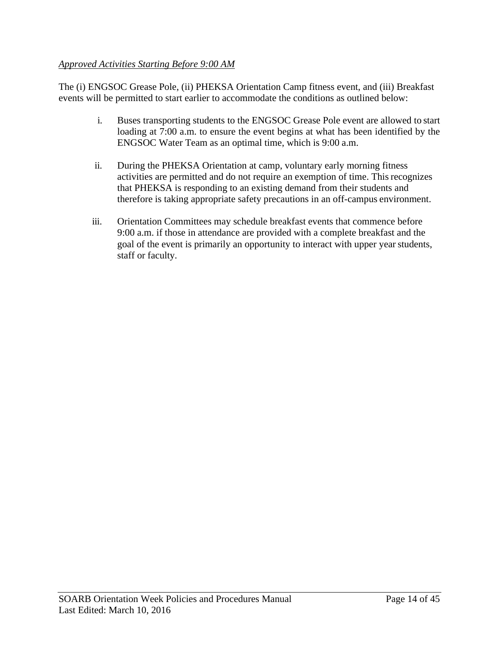## *Approved Activities Starting Before 9:00 AM*

The (i) ENGSOC Grease Pole, (ii) PHEKSA Orientation Camp fitness event, and (iii) Breakfast events will be permitted to start earlier to accommodate the conditions as outlined below:

- i. Buses transporting students to the ENGSOC Grease Pole event are allowed to start loading at 7:00 a.m. to ensure the event begins at what has been identified by the ENGSOC Water Team as an optimal time, which is 9:00 a.m.
- ii. During the PHEKSA Orientation at camp, voluntary early morning fitness activities are permitted and do not require an exemption of time. Thisrecognizes that PHEKSA is responding to an existing demand from their students and therefore is taking appropriate safety precautions in an off-campus environment.
- iii. Orientation Committees may schedule breakfast events that commence before 9:00 a.m. if those in attendance are provided with a complete breakfast and the goal of the event is primarily an opportunity to interact with upper yearstudents, staff or faculty.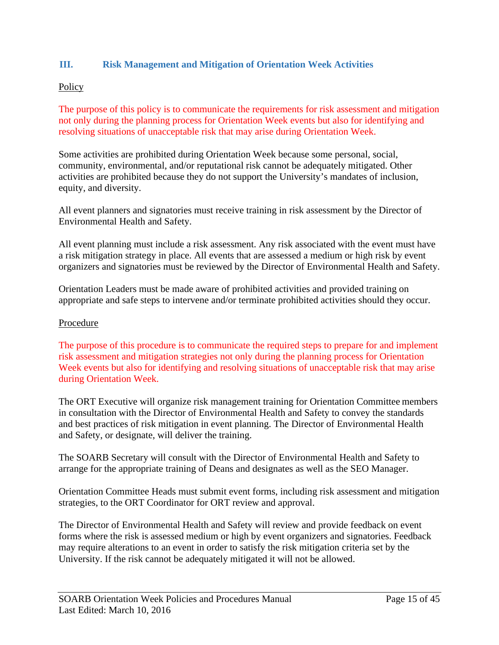# <span id="page-14-0"></span>**III. Risk Management and Mitigation of Orientation Week Activities**

## **Policy**

The purpose of this policy is to communicate the requirements for risk assessment and mitigation not only during the planning process for Orientation Week events but also for identifying and resolving situations of unacceptable risk that may arise during Orientation Week.

Some activities are prohibited during Orientation Week because some personal, social, community, environmental, and/or reputational risk cannot be adequately mitigated. Other activities are prohibited because they do not support the University's mandates of inclusion, equity, and diversity.

All event planners and signatories must receive training in risk assessment by the Director of Environmental Health and Safety.

All event planning must include a risk assessment. Any risk associated with the event must have a risk mitigation strategy in place. All events that are assessed a medium or high risk by event organizers and signatories must be reviewed by the Director of Environmental Health and Safety.

Orientation Leaders must be made aware of prohibited activities and provided training on appropriate and safe steps to intervene and/or terminate prohibited activities should they occur.

#### Procedure

The purpose of this procedure is to communicate the required steps to prepare for and implement risk assessment and mitigation strategies not only during the planning process for Orientation Week events but also for identifying and resolving situations of unacceptable risk that may arise during Orientation Week.

The ORT Executive will organize risk management training for Orientation Committee members in consultation with the Director of Environmental Health and Safety to convey the standards and best practices of risk mitigation in event planning. The Director of Environmental Health and Safety, or designate, will deliver the training.

The SOARB Secretary will consult with the Director of Environmental Health and Safety to arrange for the appropriate training of Deans and designates as well as the SEO Manager.

Orientation Committee Heads must submit event forms, including risk assessment and mitigation strategies, to the ORT Coordinator for ORT review and approval.

The Director of Environmental Health and Safety will review and provide feedback on event forms where the risk is assessed medium or high by event organizers and signatories. Feedback may require alterations to an event in order to satisfy the risk mitigation criteria set by the University. If the risk cannot be adequately mitigated it will not be allowed.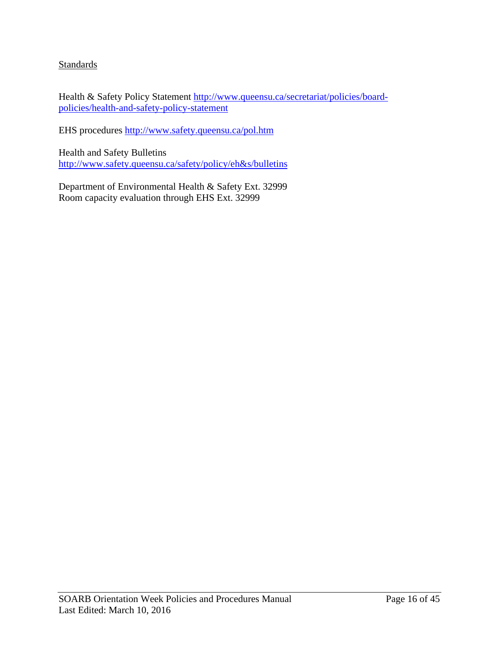# **Standards**

Health & Safety Policy Statement [http://www.queensu.ca/secretariat/policies/board](http://www.queensu.ca/secretariat/policies/board-policies/health-and-safety-policy-statement)[policies/health-and-safety-policy-statement](http://www.queensu.ca/secretariat/policies/board-policies/health-and-safety-policy-statement)

EHS procedures<http://www.safety.queensu.ca/pol.htm>

Health and Safety Bulletins [http://www.safety.queensu.ca/safety/policy/eh&s/bulletins](http://www.safety.queensu.ca/safety/policy/eh%26s/bulletins)

Department of Environmental Health & Safety Ext. 32999 Room capacity evaluation through EHS Ext. 32999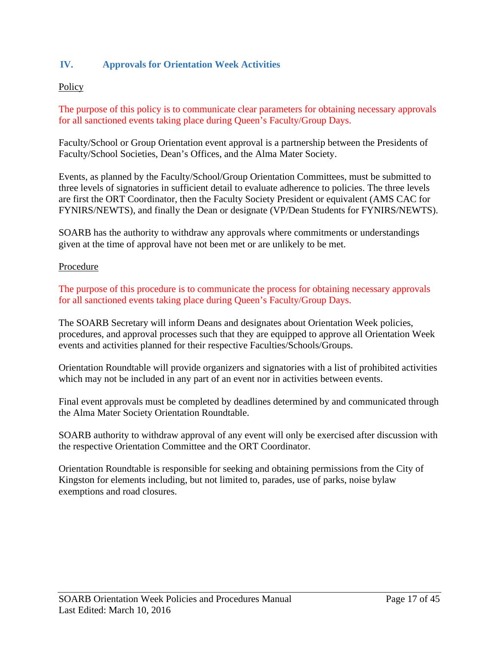# <span id="page-16-0"></span>**IV. Approvals for Orientation Week Activities**

## **Policy**

The purpose of this policy is to communicate clear parameters for obtaining necessary approvals for all sanctioned events taking place during Queen's Faculty/Group Days.

Faculty/School or Group Orientation event approval is a partnership between the Presidents of Faculty/School Societies, Dean's Offices, and the Alma Mater Society.

Events, as planned by the Faculty/School/Group Orientation Committees, must be submitted to three levels of signatories in sufficient detail to evaluate adherence to policies. The three levels are first the ORT Coordinator, then the Faculty Society President or equivalent (AMS CAC for FYNIRS/NEWTS), and finally the Dean or designate (VP/Dean Students for FYNIRS/NEWTS).

SOARB has the authority to withdraw any approvals where commitments or understandings given at the time of approval have not been met or are unlikely to be met.

#### Procedure

The purpose of this procedure is to communicate the process for obtaining necessary approvals for all sanctioned events taking place during Queen's Faculty/Group Days.

The SOARB Secretary will inform Deans and designates about Orientation Week policies, procedures, and approval processes such that they are equipped to approve all Orientation Week events and activities planned for their respective Faculties/Schools/Groups.

Orientation Roundtable will provide organizers and signatories with a list of prohibited activities which may not be included in any part of an event nor in activities between events.

Final event approvals must be completed by deadlines determined by and communicated through the Alma Mater Society Orientation Roundtable.

SOARB authority to withdraw approval of any event will only be exercised after discussion with the respective Orientation Committee and the ORT Coordinator.

Orientation Roundtable is responsible for seeking and obtaining permissions from the City of Kingston for elements including, but not limited to, parades, use of parks, noise bylaw exemptions and road closures.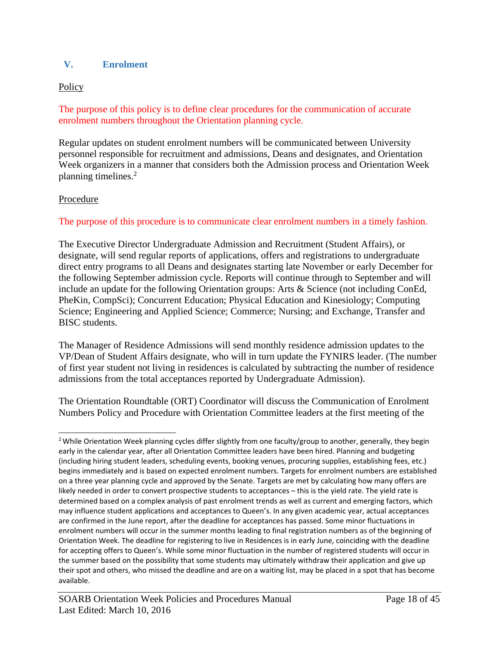## **V. Enrolment**

## **Policy**

The purpose of this policy is to define clear procedures for the communication of accurate enrolment numbers throughout the Orientation planning cycle.

Regular updates on student enrolment numbers will be communicated between University personnel responsible for recruitment and admissions, Deans and designates, and Orientation Week organizers in a manner that considers both the Admission process and Orientation Week planning timelines.<sup>2</sup>

## Procedure

## The purpose of this procedure is to communicate clear enrolment numbers in a timely fashion.

The Executive Director Undergraduate Admission and Recruitment (Student Affairs), or designate, will send regular reports of applications, offers and registrations to undergraduate direct entry programs to all Deans and designates starting late November or early December for the following September admission cycle. Reports will continue through to September and will include an update for the following Orientation groups: Arts & Science (not including ConEd, PheKin, CompSci); Concurrent Education; Physical Education and Kinesiology; Computing Science; Engineering and Applied Science; Commerce; Nursing; and Exchange, Transfer and BISC students.

The Manager of Residence Admissions will send monthly residence admission updates to the VP/Dean of Student Affairs designate, who will in turn update the FYNIRS leader. (The number of first year student not living in residences is calculated by subtracting the number of residence admissions from the total acceptances reported by Undergraduate Admission).

The Orientation Roundtable (ORT) Coordinator will discuss the Communication of Enrolment Numbers Policy and Procedure with Orientation Committee leaders at the first meeting of the

<sup>&</sup>lt;sup>2</sup> While Orientation Week planning cycles differ slightly from one faculty/group to another, generally, they begin early in the calendar year, after all Orientation Committee leaders have been hired. Planning and budgeting (including hiring student leaders, scheduling events, booking venues, procuring supplies, establishing fees, etc.) begins immediately and is based on expected enrolment numbers. Targets for enrolment numbers are established on a three year planning cycle and approved by the Senate. Targets are met by calculating how many offers are likely needed in order to convert prospective students to acceptances – this is the yield rate. The yield rate is determined based on a complex analysis of past enrolment trends as well as current and emerging factors, which may influence student applications and acceptances to Queen's. In any given academic year, actual acceptances are confirmed in the June report, after the deadline for acceptances has passed. Some minor fluctuations in enrolment numbers will occur in the summer months leading to final registration numbers as of the beginning of Orientation Week. The deadline for registering to live in Residences is in early June, coinciding with the deadline for accepting offers to Queen's. While some minor fluctuation in the number of registered students will occur in the summer based on the possibility that some students may ultimately withdraw their application and give up their spot and others, who missed the deadline and are on a waiting list, may be placed in a spot that has become available.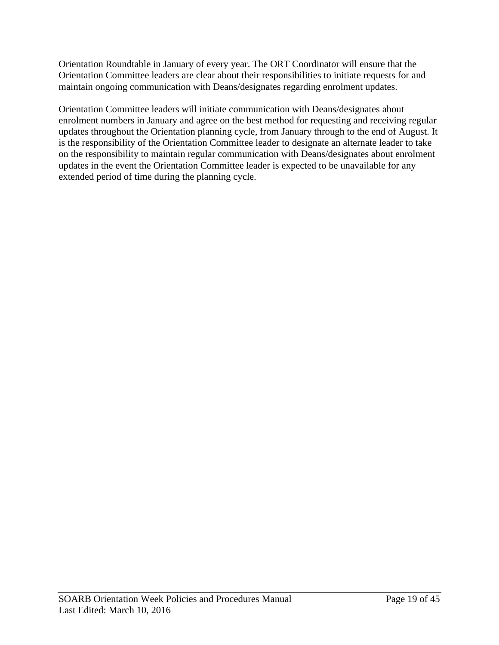Orientation Roundtable in January of every year. The ORT Coordinator will ensure that the Orientation Committee leaders are clear about their responsibilities to initiate requests for and maintain ongoing communication with Deans/designates regarding enrolment updates.

Orientation Committee leaders will initiate communication with Deans/designates about enrolment numbers in January and agree on the best method for requesting and receiving regular updates throughout the Orientation planning cycle, from January through to the end of August. It is the responsibility of the Orientation Committee leader to designate an alternate leader to take on the responsibility to maintain regular communication with Deans/designates about enrolment updates in the event the Orientation Committee leader is expected to be unavailable for any extended period of time during the planning cycle.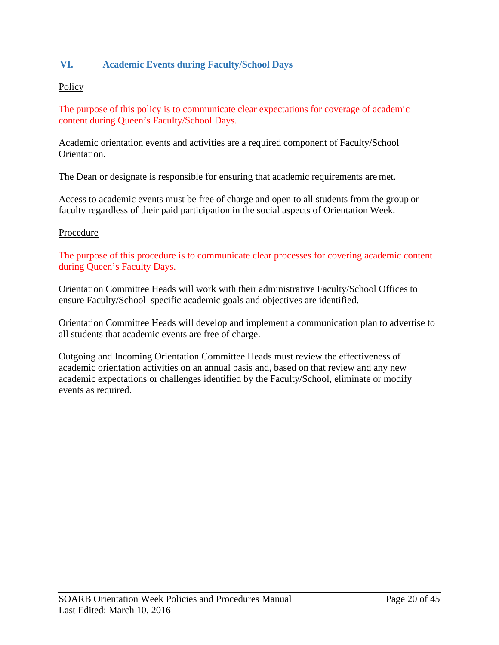# <span id="page-19-0"></span>**VI. Academic Events during Faculty/School Days**

#### **Policy**

The purpose of this policy is to communicate clear expectations for coverage of academic content during Queen's Faculty/School Days.

Academic orientation events and activities are a required component of Faculty/School Orientation.

The Dean or designate is responsible for ensuring that academic requirements are met.

Access to academic events must be free of charge and open to all students from the group or faculty regardless of their paid participation in the social aspects of Orientation Week.

#### Procedure

The purpose of this procedure is to communicate clear processes for covering academic content during Queen's Faculty Days.

Orientation Committee Heads will work with their administrative Faculty/School Offices to ensure Faculty/School–specific academic goals and objectives are identified.

Orientation Committee Heads will develop and implement a communication plan to advertise to all students that academic events are free of charge.

Outgoing and Incoming Orientation Committee Heads must review the effectiveness of academic orientation activities on an annual basis and, based on that review and any new academic expectations or challenges identified by the Faculty/School, eliminate or modify events as required.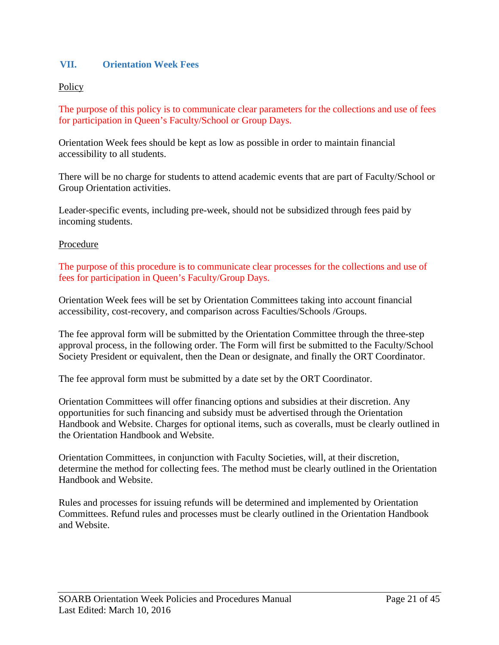## <span id="page-20-0"></span>**VII. Orientation Week Fees**

## **Policy**

The purpose of this policy is to communicate clear parameters for the collections and use of fees for participation in Queen's Faculty/School or Group Days.

Orientation Week fees should be kept as low as possible in order to maintain financial accessibility to all students.

There will be no charge for students to attend academic events that are part of Faculty/School or Group Orientation activities.

Leader-specific events, including pre-week, should not be subsidized through fees paid by incoming students.

#### Procedure

The purpose of this procedure is to communicate clear processes for the collections and use of fees for participation in Queen's Faculty/Group Days.

Orientation Week fees will be set by Orientation Committees taking into account financial accessibility, cost-recovery, and comparison across Faculties/Schools /Groups.

The fee approval form will be submitted by the Orientation Committee through the three-step approval process, in the following order. The Form will first be submitted to the Faculty/School Society President or equivalent, then the Dean or designate, and finally the ORT Coordinator.

The fee approval form must be submitted by a date set by the ORT Coordinator.

Orientation Committees will offer financing options and subsidies at their discretion. Any opportunities for such financing and subsidy must be advertised through the Orientation Handbook and Website. Charges for optional items, such as coveralls, must be clearly outlined in the Orientation Handbook and Website.

Orientation Committees, in conjunction with Faculty Societies, will, at their discretion, determine the method for collecting fees. The method must be clearly outlined in the Orientation Handbook and Website.

Rules and processes for issuing refunds will be determined and implemented by Orientation Committees. Refund rules and processes must be clearly outlined in the Orientation Handbook and Website.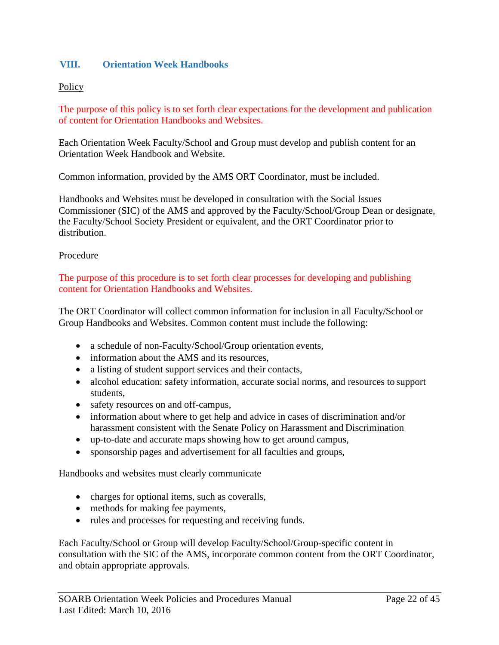## <span id="page-21-0"></span>**VIII. Orientation Week Handbooks**

## **Policy**

The purpose of this policy is to set forth clear expectations for the development and publication of content for Orientation Handbooks and Websites.

Each Orientation Week Faculty/School and Group must develop and publish content for an Orientation Week Handbook and Website.

Common information, provided by the AMS ORT Coordinator, must be included.

Handbooks and Websites must be developed in consultation with the Social Issues Commissioner (SIC) of the AMS and approved by the Faculty/School/Group Dean or designate, the Faculty/School Society President or equivalent, and the ORT Coordinator prior to distribution.

#### Procedure

The purpose of this procedure is to set forth clear processes for developing and publishing content for Orientation Handbooks and Websites.

The ORT Coordinator will collect common information for inclusion in all Faculty/School or Group Handbooks and Websites. Common content must include the following:

- a schedule of non-Faculty/School/Group orientation events,
- information about the AMS and its resources,
- a listing of student support services and their contacts,
- alcohol education: safety information, accurate social norms, and resources to support students,
- safety resources on and off-campus,
- information about where to get help and advice in cases of discrimination and/or harassment consistent with the Senate Policy on Harassment and Discrimination
- up-to-date and accurate maps showing how to get around campus,
- sponsorship pages and advertisement for all faculties and groups,

Handbooks and websites must clearly communicate

- charges for optional items, such as coveralls,
- methods for making fee payments,
- rules and processes for requesting and receiving funds.

Each Faculty/School or Group will develop Faculty/School/Group-specific content in consultation with the SIC of the AMS, incorporate common content from the ORT Coordinator, and obtain appropriate approvals.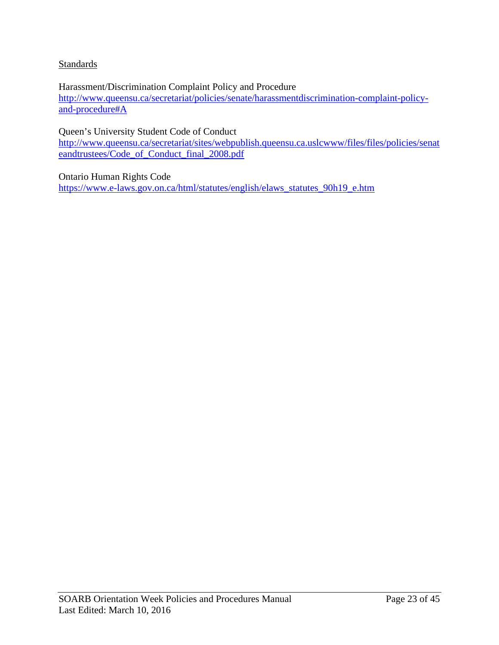## **Standards**

Harassment/Discrimination Complaint Policy and Procedure [http://www.queensu.ca/secretariat/policies/senate/harassmentdiscrimination-complaint-policy](http://www.queensu.ca/secretariat/policies/senate/harassmentdiscrimination-complaint-policy-and-procedure#A)[and-procedure#A](http://www.queensu.ca/secretariat/policies/senate/harassmentdiscrimination-complaint-policy-and-procedure#A)

Queen's University Student Code of Conduct

[http://www.queensu.ca/secretariat/sites/webpublish.queensu.ca.uslcwww/files/files/policies/senat](http://www.queensu.ca/secretariat/sites/webpublish.queensu.ca.uslcwww/files/files/policies/senateandtrustees/Code_of_Conduct_final_2008.pdf) [eandtrustees/Code\\_of\\_Conduct\\_final\\_2008.pdf](http://www.queensu.ca/secretariat/sites/webpublish.queensu.ca.uslcwww/files/files/policies/senateandtrustees/Code_of_Conduct_final_2008.pdf)

Ontario Human Rights Code

[https://www.e-laws.gov.on.ca/html/statutes/english/elaws\\_statutes\\_90h19\\_e.htm](https://www.e-laws.gov.on.ca/html/statutes/english/elaws_statutes_90h19_e.htm)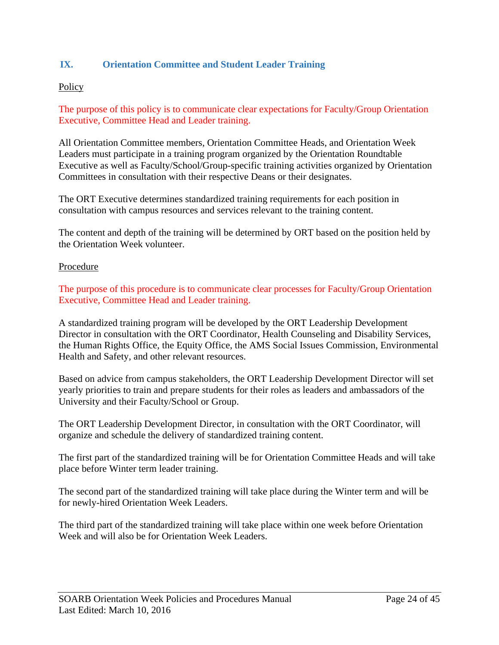# <span id="page-23-0"></span>**IX. Orientation Committee and Student Leader Training**

## **Policy**

The purpose of this policy is to communicate clear expectations for Faculty/Group Orientation Executive, Committee Head and Leader training.

All Orientation Committee members, Orientation Committee Heads, and Orientation Week Leaders must participate in a training program organized by the Orientation Roundtable Executive as well as Faculty/School/Group-specific training activities organized by Orientation Committees in consultation with their respective Deans or their designates.

The ORT Executive determines standardized training requirements for each position in consultation with campus resources and services relevant to the training content.

The content and depth of the training will be determined by ORT based on the position held by the Orientation Week volunteer.

#### Procedure

The purpose of this procedure is to communicate clear processes for Faculty/Group Orientation Executive, Committee Head and Leader training.

A standardized training program will be developed by the ORT Leadership Development Director in consultation with the ORT Coordinator, Health Counseling and Disability Services, the Human Rights Office, the Equity Office, the AMS Social Issues Commission, Environmental Health and Safety, and other relevant resources.

Based on advice from campus stakeholders, the ORT Leadership Development Director will set yearly priorities to train and prepare students for their roles as leaders and ambassadors of the University and their Faculty/School or Group.

The ORT Leadership Development Director, in consultation with the ORT Coordinator, will organize and schedule the delivery of standardized training content.

The first part of the standardized training will be for Orientation Committee Heads and will take place before Winter term leader training.

The second part of the standardized training will take place during the Winter term and will be for newly-hired Orientation Week Leaders.

The third part of the standardized training will take place within one week before Orientation Week and will also be for Orientation Week Leaders.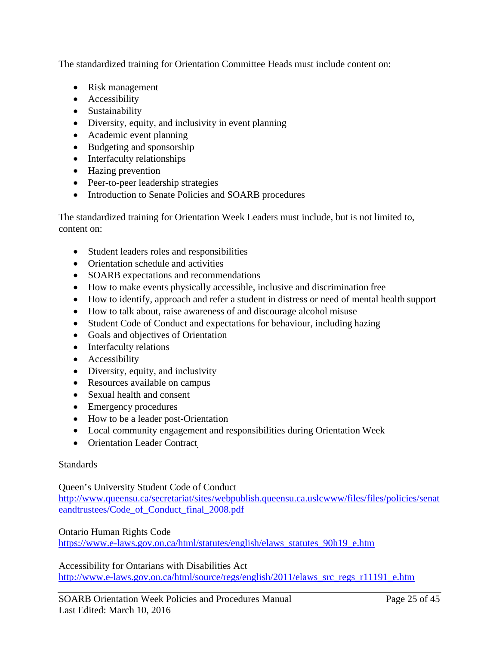The standardized training for Orientation Committee Heads must include content on:

- Risk management
- Accessibility
- Sustainability
- Diversity, equity, and inclusivity in event planning
- Academic event planning
- Budgeting and sponsorship
- Interfaculty relationships
- Hazing prevention
- Peer-to-peer leadership strategies
- Introduction to Senate Policies and SOARB procedures

The standardized training for Orientation Week Leaders must include, but is not limited to, content on:

- Student leaders roles and responsibilities
- Orientation schedule and activities
- SOARB expectations and recommendations
- How to make events physically accessible, inclusive and discrimination free
- How to identify, approach and refer a student in distress or need of mental health support
- How to talk about, raise awareness of and discourage alcohol misuse
- Student Code of Conduct and expectations for behaviour, including hazing
- Goals and objectives of Orientation
- Interfaculty relations
- Accessibility
- Diversity, equity, and inclusivity
- Resources available on campus
- Sexual health and consent
- Emergency procedures
- How to be a leader post-Orientation
- Local community engagement and responsibilities during Orientation Week
- Orientation Leader Contract

# **Standards**

Queen's University Student Code of Conduct

[http://www.queensu.ca/secretariat/sites/webpublish.queensu.ca.uslcwww/files/files/policies/senat](http://www.queensu.ca/secretariat/sites/webpublish.queensu.ca.uslcwww/files/files/policies/senateandtrustees/Code_of_Conduct_final_2008.pdf) [eandtrustees/Code\\_of\\_Conduct\\_final\\_2008.pdf](http://www.queensu.ca/secretariat/sites/webpublish.queensu.ca.uslcwww/files/files/policies/senateandtrustees/Code_of_Conduct_final_2008.pdf)

## Ontario Human Rights Code

[https://www.e-laws.gov.on.ca/html/statutes/english/elaws\\_statutes\\_90h19\\_e.htm](https://www.e-laws.gov.on.ca/html/statutes/english/elaws_statutes_90h19_e.htm)

Accessibility for Ontarians with Disabilities Act [http://www.e-laws.gov.on.ca/html/source/regs/english/2011/elaws\\_src\\_regs\\_r11191\\_e.htm](http://www.e-laws.gov.on.ca/html/source/regs/english/2011/elaws_src_regs_r11191_e.htm)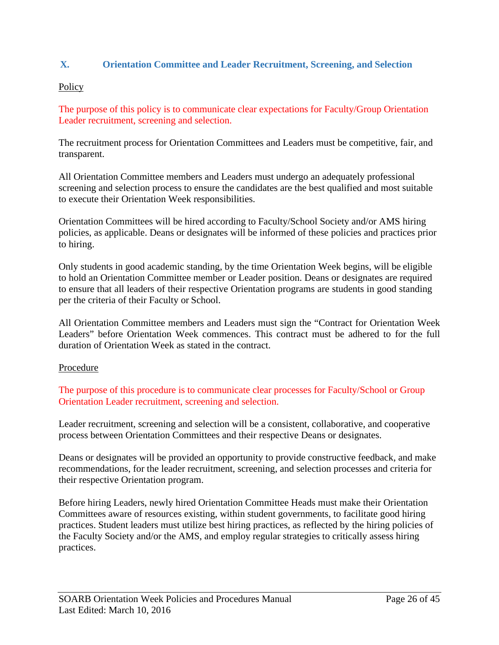## <span id="page-25-0"></span>**X. Orientation Committee and Leader Recruitment, Screening, and Selection**

### **Policy**

The purpose of this policy is to communicate clear expectations for Faculty/Group Orientation Leader recruitment, screening and selection.

The recruitment process for Orientation Committees and Leaders must be competitive, fair, and transparent.

All Orientation Committee members and Leaders must undergo an adequately professional screening and selection process to ensure the candidates are the best qualified and most suitable to execute their Orientation Week responsibilities.

Orientation Committees will be hired according to Faculty/School Society and/or AMS hiring policies, as applicable. Deans or designates will be informed of these policies and practices prior to hiring.

Only students in good academic standing, by the time Orientation Week begins, will be eligible to hold an Orientation Committee member or Leader position. Deans or designates are required to ensure that all leaders of their respective Orientation programs are students in good standing per the criteria of their Faculty or School.

All Orientation Committee members and Leaders must sign the "Contract for Orientation Week Leaders" before Orientation Week commences. This contract must be adhered to for the full duration of Orientation Week as stated in the contract.

## Procedure

The purpose of this procedure is to communicate clear processes for Faculty/School or Group Orientation Leader recruitment, screening and selection.

Leader recruitment, screening and selection will be a consistent, collaborative, and cooperative process between Orientation Committees and their respective Deans or designates.

Deans or designates will be provided an opportunity to provide constructive feedback, and make recommendations, for the leader recruitment, screening, and selection processes and criteria for their respective Orientation program.

Before hiring Leaders, newly hired Orientation Committee Heads must make their Orientation Committees aware of resources existing, within student governments, to facilitate good hiring practices. Student leaders must utilize best hiring practices, as reflected by the hiring policies of the Faculty Society and/or the AMS, and employ regular strategies to critically assess hiring practices.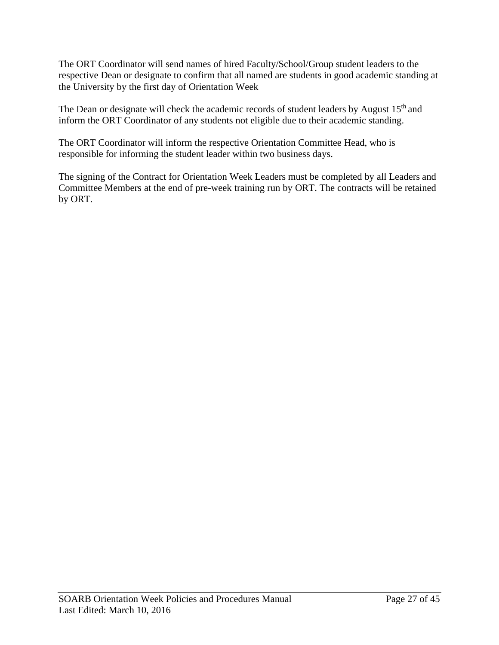The ORT Coordinator will send names of hired Faculty/School/Group student leaders to the respective Dean or designate to confirm that all named are students in good academic standing at the University by the first day of Orientation Week

The Dean or designate will check the academic records of student leaders by August  $15<sup>th</sup>$  and inform the ORT Coordinator of any students not eligible due to their academic standing.

The ORT Coordinator will inform the respective Orientation Committee Head, who is responsible for informing the student leader within two business days.

The signing of the Contract for Orientation Week Leaders must be completed by all Leaders and Committee Members at the end of pre-week training run by ORT. The contracts will be retained by ORT.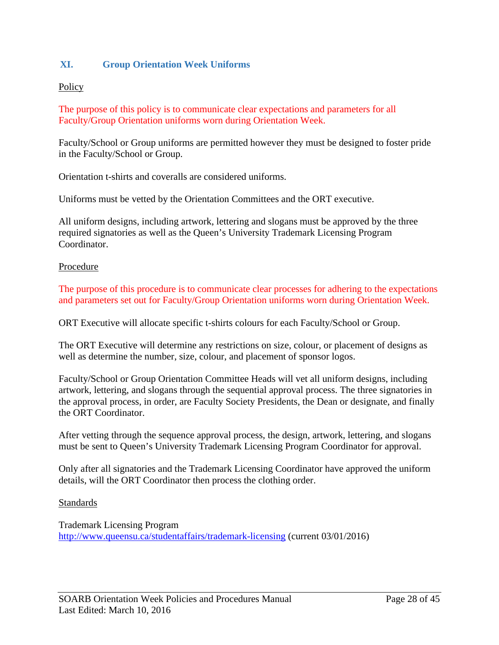## <span id="page-27-0"></span>**XI. Group Orientation Week Uniforms**

#### **Policy**

The purpose of this policy is to communicate clear expectations and parameters for all Faculty/Group Orientation uniforms worn during Orientation Week.

Faculty/School or Group uniforms are permitted however they must be designed to foster pride in the Faculty/School or Group.

Orientation t-shirts and coveralls are considered uniforms.

Uniforms must be vetted by the Orientation Committees and the ORT executive.

All uniform designs, including artwork, lettering and slogans must be approved by the three required signatories as well as the Queen's University Trademark Licensing Program Coordinator.

#### Procedure

The purpose of this procedure is to communicate clear processes for adhering to the expectations and parameters set out for Faculty/Group Orientation uniforms worn during Orientation Week.

ORT Executive will allocate specific t-shirts colours for each Faculty/School or Group.

The ORT Executive will determine any restrictions on size, colour, or placement of designs as well as determine the number, size, colour, and placement of sponsor logos.

Faculty/School or Group Orientation Committee Heads will vet all uniform designs, including artwork, lettering, and slogans through the sequential approval process. The three signatories in the approval process, in order, are Faculty Society Presidents, the Dean or designate, and finally the ORT Coordinator.

After vetting through the sequence approval process, the design, artwork, lettering, and slogans must be sent to Queen's University Trademark Licensing Program Coordinator for approval.

Only after all signatories and the Trademark Licensing Coordinator have approved the uniform details, will the ORT Coordinator then process the clothing order.

#### Standards

Trademark Licensing Program <http://www.queensu.ca/studentaffairs/trademark-licensing> (current 03/01/2016)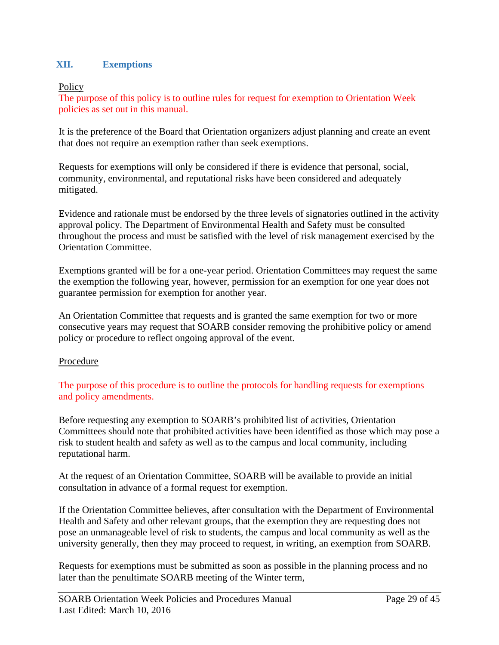## <span id="page-28-0"></span>**XII. Exemptions**

**Policy** 

The purpose of this policy is to outline rules for request for exemption to Orientation Week policies as set out in this manual.

It is the preference of the Board that Orientation organizers adjust planning and create an event that does not require an exemption rather than seek exemptions.

Requests for exemptions will only be considered if there is evidence that personal, social, community, environmental, and reputational risks have been considered and adequately mitigated.

Evidence and rationale must be endorsed by the three levels of signatories outlined in the activity approval policy. The Department of Environmental Health and Safety must be consulted throughout the process and must be satisfied with the level of risk management exercised by the Orientation Committee.

Exemptions granted will be for a one-year period. Orientation Committees may request the same the exemption the following year, however, permission for an exemption for one year does not guarantee permission for exemption for another year.

An Orientation Committee that requests and is granted the same exemption for two or more consecutive years may request that SOARB consider removing the prohibitive policy or amend policy or procedure to reflect ongoing approval of the event.

## **Procedure**

The purpose of this procedure is to outline the protocols for handling requests for exemptions and policy amendments.

Before requesting any exemption to SOARB's prohibited list of activities, Orientation Committees should note that prohibited activities have been identified as those which may pose a risk to student health and safety as well as to the campus and local community, including reputational harm.

At the request of an Orientation Committee, SOARB will be available to provide an initial consultation in advance of a formal request for exemption.

If the Orientation Committee believes, after consultation with the Department of Environmental Health and Safety and other relevant groups, that the exemption they are requesting does not pose an unmanageable level of risk to students, the campus and local community as well as the university generally, then they may proceed to request, in writing, an exemption from SOARB.

Requests for exemptions must be submitted as soon as possible in the planning process and no later than the penultimate SOARB meeting of the Winter term,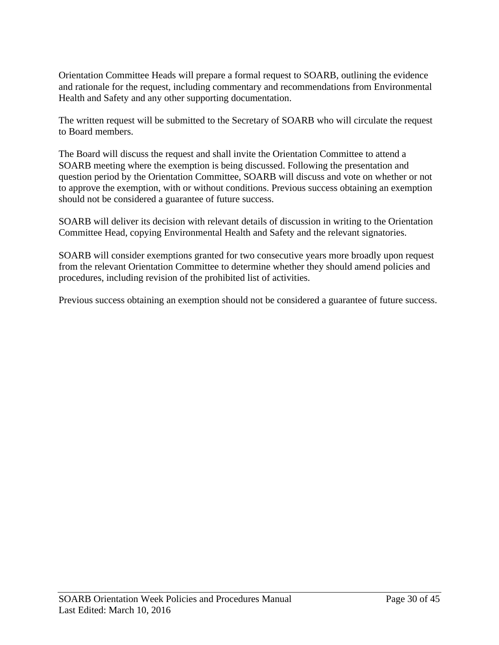Orientation Committee Heads will prepare a formal request to SOARB, outlining the evidence and rationale for the request, including commentary and recommendations from Environmental Health and Safety and any other supporting documentation.

The written request will be submitted to the Secretary of SOARB who will circulate the request to Board members.

The Board will discuss the request and shall invite the Orientation Committee to attend a SOARB meeting where the exemption is being discussed. Following the presentation and question period by the Orientation Committee, SOARB will discuss and vote on whether or not to approve the exemption, with or without conditions. Previous success obtaining an exemption should not be considered a guarantee of future success.

SOARB will deliver its decision with relevant details of discussion in writing to the Orientation Committee Head, copying Environmental Health and Safety and the relevant signatories.

SOARB will consider exemptions granted for two consecutive years more broadly upon request from the relevant Orientation Committee to determine whether they should amend policies and procedures, including revision of the prohibited list of activities.

Previous success obtaining an exemption should not be considered a guarantee of future success.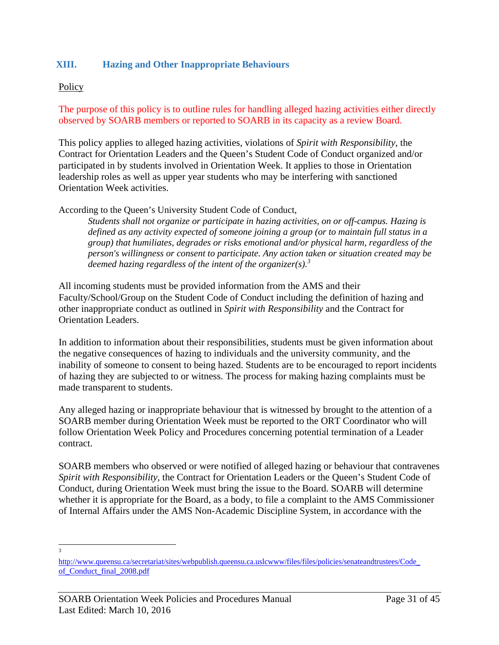## <span id="page-30-0"></span>**XIII. Hazing and Other Inappropriate Behaviours**

#### **Policy**

The purpose of this policy is to outline rules for handling alleged hazing activities either directly observed by SOARB members or reported to SOARB in its capacity as a review Board.

This policy applies to alleged hazing activities, violations of *Spirit with Responsibility*, the Contract for Orientation Leaders and the Queen's Student Code of Conduct organized and/or participated in by students involved in Orientation Week. It applies to those in Orientation leadership roles as well as upper year students who may be interfering with sanctioned Orientation Week activities.

According to the Queen's University Student Code of Conduct,

*Students shall not organize or participate in hazing activities, on or off-campus. Hazing is defined as any activity expected of someone joining a group (or to maintain full status in a group) that humiliates, degrades or risks emotional and/or physical harm, regardless of the person's willingness or consent to participate. Any action taken or situation created may be deemed hazing regardless of the intent of the organizer(s).<sup>3</sup>*

All incoming students must be provided information from the AMS and their Faculty/School/Group on the Student Code of Conduct including the definition of hazing and other inappropriate conduct as outlined in *Spirit with Responsibility* and the Contract for Orientation Leaders.

In addition to information about their responsibilities, students must be given information about the negative consequences of hazing to individuals and the university community, and the inability of someone to consent to being hazed. Students are to be encouraged to report incidents of hazing they are subjected to or witness. The process for making hazing complaints must be made transparent to students.

Any alleged hazing or inappropriate behaviour that is witnessed by brought to the attention of a SOARB member during Orientation Week must be reported to the ORT Coordinator who will follow Orientation Week Policy and Procedures concerning potential termination of a Leader contract.

SOARB members who observed or were notified of alleged hazing or behaviour that contravenes *Spirit with Responsibility*, the Contract for Orientation Leaders or the Queen's Student Code of Conduct, during Orientation Week must bring the issue to the Board. SOARB will determine whether it is appropriate for the Board, as a body, to file a complaint to the AMS Commissioner of Internal Affairs under the AMS Non-Academic Discipline System, in accordance with the

3

[http://www.queensu.ca/secretariat/sites/webpublish.queensu.ca.uslcwww/files/files/policies/senateandtrustees/Code\\_](http://www.queensu.ca/secretariat/sites/webpublish.queensu.ca.uslcwww/files/files/policies/senateandtrustees/Code_of_Conduct_final_2008.pdf) of Conduct final 2008.pdf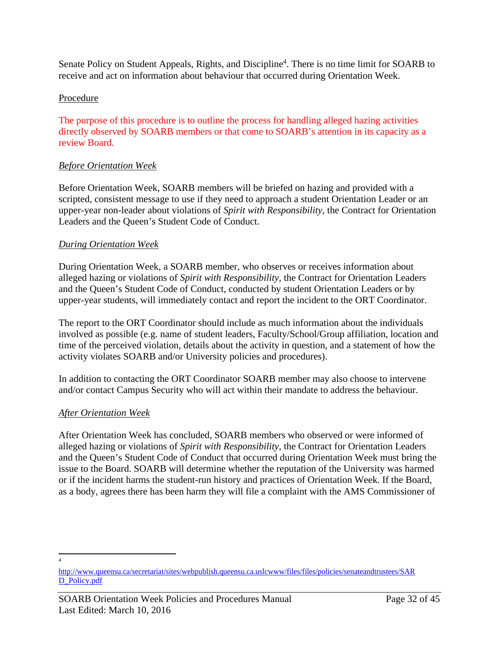Senate Policy on Student Appeals, Rights, and Discipline<sup>4</sup>. There is no time limit for SOARB to receive and act on information about behaviour that occurred during Orientation Week.

# Procedure

The purpose of this procedure is to outline the process for handling alleged hazing activities directly observed by SOARB members or that come to SOARB's attention in its capacity as a review Board.

# *Before Orientation Week*

Before Orientation Week, SOARB members will be briefed on hazing and provided with a scripted, consistent message to use if they need to approach a student Orientation Leader or an upper-year non-leader about violations of *Spirit with Responsibility*, the Contract for Orientation Leaders and the Queen's Student Code of Conduct.

# *During Orientation Week*

During Orientation Week, a SOARB member, who observes or receives information about alleged hazing or violations of *Spirit with Responsibility*, the Contract for Orientation Leaders and the Queen's Student Code of Conduct, conducted by student Orientation Leaders or by upper-year students, will immediately contact and report the incident to the ORT Coordinator.

The report to the ORT Coordinator should include as much information about the individuals involved as possible (e.g. name of student leaders, Faculty/School/Group affiliation, location and time of the perceived violation, details about the activity in question, and a statement of how the activity violates SOARB and/or University policies and procedures).

In addition to contacting the ORT Coordinator SOARB member may also choose to intervene and/or contact Campus Security who will act within their mandate to address the behaviour.

# *After Orientation Week*

After Orientation Week has concluded, SOARB members who observed or were informed of alleged hazing or violations of *Spirit with Responsibility*, the Contract for Orientation Leaders and the Queen's Student Code of Conduct that occurred during Orientation Week must bring the issue to the Board. SOARB will determine whether the reputation of the University was harmed or if the incident harms the student-run history and practices of Orientation Week. If the Board, as a body, agrees there has been harm they will file a complaint with the AMS Commissioner of

4

[http://www.queensu.ca/secretariat/sites/webpublish.queensu.ca.uslcwww/files/files/policies/senateandtrustees/SAR](http://www.queensu.ca/secretariat/sites/webpublish.queensu.ca.uslcwww/files/files/policies/senateandtrustees/SARD_Policy.pdf) [D\\_Policy.pdf](http://www.queensu.ca/secretariat/sites/webpublish.queensu.ca.uslcwww/files/files/policies/senateandtrustees/SARD_Policy.pdf)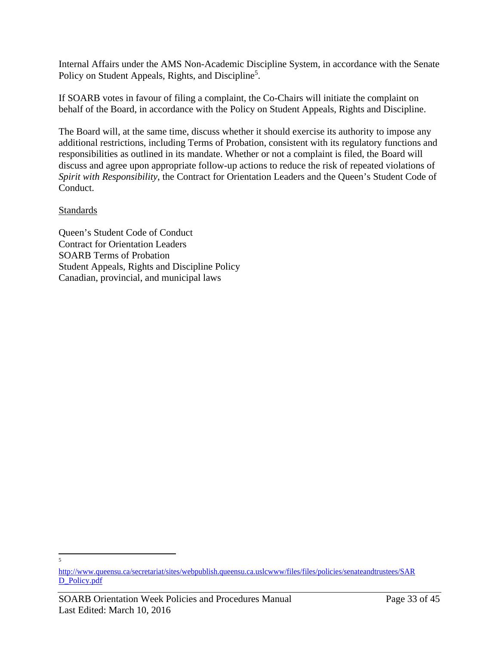Internal Affairs under the AMS Non-Academic Discipline System, in accordance with the Senate Policy on Student Appeals, Rights, and Discipline<sup>5</sup>.

If SOARB votes in favour of filing a complaint, the Co-Chairs will initiate the complaint on behalf of the Board, in accordance with the Policy on Student Appeals, Rights and Discipline.

The Board will, at the same time, discuss whether it should exercise its authority to impose any additional restrictions, including Terms of Probation, consistent with its regulatory functions and responsibilities as outlined in its mandate. Whether or not a complaint is filed, the Board will discuss and agree upon appropriate follow-up actions to reduce the risk of repeated violations of *Spirit with Responsibility*, the Contract for Orientation Leaders and the Queen's Student Code of Conduct.

## Standards

Queen's Student Code of Conduct Contract for Orientation Leaders SOARB Terms of Probation Student Appeals, Rights and Discipline Policy Canadian, provincial, and municipal laws

 $\leq$ 

[http://www.queensu.ca/secretariat/sites/webpublish.queensu.ca.uslcwww/files/files/policies/senateandtrustees/SAR](http://www.queensu.ca/secretariat/sites/webpublish.queensu.ca.uslcwww/files/files/policies/senateandtrustees/SARD_Policy.pdf) [D\\_Policy.pdf](http://www.queensu.ca/secretariat/sites/webpublish.queensu.ca.uslcwww/files/files/policies/senateandtrustees/SARD_Policy.pdf)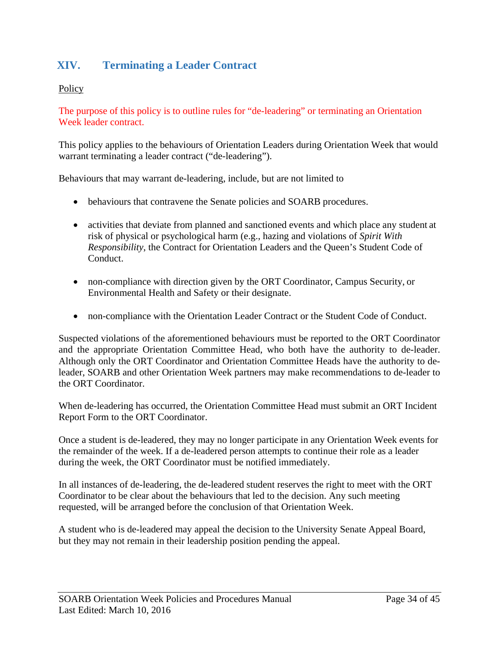# <span id="page-33-0"></span>**XIV. Terminating a Leader Contract**

# **Policy**

The purpose of this policy is to outline rules for "de-leadering" or terminating an Orientation Week leader contract.

This policy applies to the behaviours of Orientation Leaders during Orientation Week that would warrant terminating a leader contract ("de-leadering").

Behaviours that may warrant de-leadering, include, but are not limited to

- behaviours that contravene the Senate policies and SOARB procedures.
- activities that deviate from planned and sanctioned events and which place any student at risk of physical or psychological harm (e.g., hazing and violations of *Spirit With Responsibility*, the Contract for Orientation Leaders and the Queen's Student Code of Conduct.
- non-compliance with direction given by the ORT Coordinator, Campus Security, or Environmental Health and Safety or their designate.
- non-compliance with the Orientation Leader Contract or the Student Code of Conduct.

Suspected violations of the aforementioned behaviours must be reported to the ORT Coordinator and the appropriate Orientation Committee Head, who both have the authority to de-leader. Although only the ORT Coordinator and Orientation Committee Heads have the authority to deleader, SOARB and other Orientation Week partners may make recommendations to de-leader to the ORT Coordinator.

When de-leadering has occurred, the Orientation Committee Head must submit an ORT Incident Report Form to the ORT Coordinator.

Once a student is de-leadered, they may no longer participate in any Orientation Week events for the remainder of the week. If a de-leadered person attempts to continue their role as a leader during the week, the ORT Coordinator must be notified immediately.

In all instances of de-leadering, the de-leadered student reserves the right to meet with the ORT Coordinator to be clear about the behaviours that led to the decision. Any such meeting requested, will be arranged before the conclusion of that Orientation Week.

A student who is de-leadered may appeal the decision to the University Senate Appeal Board, but they may not remain in their leadership position pending the appeal.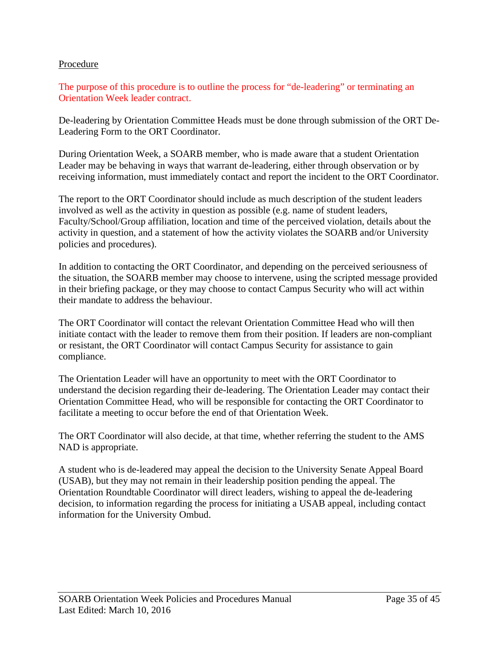#### Procedure

The purpose of this procedure is to outline the process for "de-leadering" or terminating an Orientation Week leader contract.

De-leadering by Orientation Committee Heads must be done through submission of the ORT De-Leadering Form to the ORT Coordinator.

During Orientation Week, a SOARB member, who is made aware that a student Orientation Leader may be behaving in ways that warrant de-leadering, either through observation or by receiving information, must immediately contact and report the incident to the ORT Coordinator.

The report to the ORT Coordinator should include as much description of the student leaders involved as well as the activity in question as possible (e.g. name of student leaders, Faculty/School/Group affiliation, location and time of the perceived violation, details about the activity in question, and a statement of how the activity violates the SOARB and/or University policies and procedures).

In addition to contacting the ORT Coordinator, and depending on the perceived seriousness of the situation, the SOARB member may choose to intervene, using the scripted message provided in their briefing package, or they may choose to contact Campus Security who will act within their mandate to address the behaviour.

The ORT Coordinator will contact the relevant Orientation Committee Head who will then initiate contact with the leader to remove them from their position. If leaders are non-compliant or resistant, the ORT Coordinator will contact Campus Security for assistance to gain compliance.

The Orientation Leader will have an opportunity to meet with the ORT Coordinator to understand the decision regarding their de-leadering. The Orientation Leader may contact their Orientation Committee Head, who will be responsible for contacting the ORT Coordinator to facilitate a meeting to occur before the end of that Orientation Week.

The ORT Coordinator will also decide, at that time, whether referring the student to the AMS NAD is appropriate.

A student who is de-leadered may appeal the decision to the University Senate Appeal Board (USAB), but they may not remain in their leadership position pending the appeal. The Orientation Roundtable Coordinator will direct leaders, wishing to appeal the de-leadering decision, to information regarding the process for initiating a USAB appeal, including contact information for the University Ombud.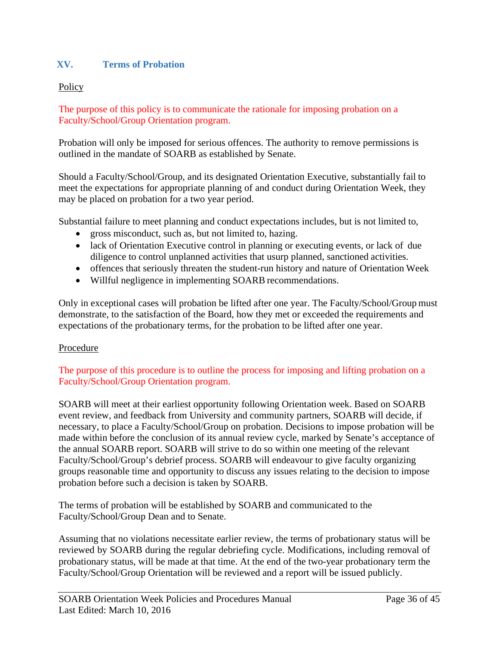# <span id="page-35-0"></span>**XV. Terms of Probation**

### **Policy**

The purpose of this policy is to communicate the rationale for imposing probation on a Faculty/School/Group Orientation program.

Probation will only be imposed for serious offences. The authority to remove permissions is outlined in the mandate of SOARB as established by Senate.

Should a Faculty/School/Group, and its designated Orientation Executive, substantially fail to meet the expectations for appropriate planning of and conduct during Orientation Week, they may be placed on probation for a two year period.

Substantial failure to meet planning and conduct expectations includes, but is not limited to,

- gross misconduct, such as, but not limited to, hazing.
- lack of Orientation Executive control in planning or executing events, or lack of due diligence to control unplanned activities that usurp planned, sanctioned activities.
- offences that seriously threaten the student-run history and nature of Orientation Week
- Willful negligence in implementing SOARB recommendations.

Only in exceptional cases will probation be lifted after one year. The Faculty/School/Group must demonstrate, to the satisfaction of the Board, how they met or exceeded the requirements and expectations of the probationary terms, for the probation to be lifted after one year.

#### Procedure

The purpose of this procedure is to outline the process for imposing and lifting probation on a Faculty/School/Group Orientation program.

SOARB will meet at their earliest opportunity following Orientation week. Based on SOARB event review, and feedback from University and community partners, SOARB will decide, if necessary, to place a Faculty/School/Group on probation. Decisions to impose probation will be made within before the conclusion of its annual review cycle, marked by Senate's acceptance of the annual SOARB report. SOARB will strive to do so within one meeting of the relevant Faculty/School/Group's debrief process. SOARB will endeavour to give faculty organizing groups reasonable time and opportunity to discuss any issues relating to the decision to impose probation before such a decision is taken by SOARB.

The terms of probation will be established by SOARB and communicated to the Faculty/School/Group Dean and to Senate.

Assuming that no violations necessitate earlier review, the terms of probationary status will be reviewed by SOARB during the regular debriefing cycle. Modifications, including removal of probationary status, will be made at that time. At the end of the two-year probationary term the Faculty/School/Group Orientation will be reviewed and a report will be issued publicly.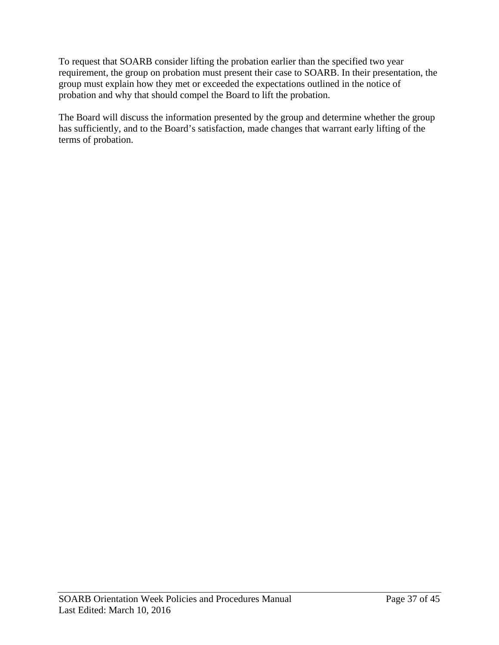To request that SOARB consider lifting the probation earlier than the specified two year requirement, the group on probation must present their case to SOARB. In their presentation, the group must explain how they met or exceeded the expectations outlined in the notice of probation and why that should compel the Board to lift the probation.

The Board will discuss the information presented by the group and determine whether the group has sufficiently, and to the Board's satisfaction, made changes that warrant early lifting of the terms of probation.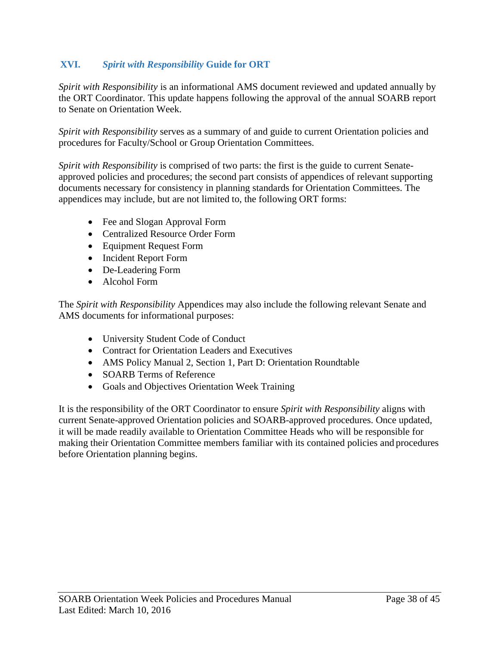# <span id="page-37-0"></span>**XVI.** *Spirit with Responsibility* **Guide for ORT**

*Spirit with Responsibility* is an informational AMS document reviewed and updated annually by the ORT Coordinator. This update happens following the approval of the annual SOARB report to Senate on Orientation Week.

*Spirit with Responsibility* serves as a summary of and guide to current Orientation policies and procedures for Faculty/School or Group Orientation Committees.

*Spirit with Responsibility* is comprised of two parts: the first is the guide to current Senateapproved policies and procedures; the second part consists of appendices of relevant supporting documents necessary for consistency in planning standards for Orientation Committees. The appendices may include, but are not limited to, the following ORT forms:

- Fee and Slogan Approval Form
- Centralized Resource Order Form
- Equipment Request Form
- Incident Report Form
- De-Leadering Form
- Alcohol Form

The *Spirit with Responsibility* Appendices may also include the following relevant Senate and AMS documents for informational purposes:

- University Student Code of Conduct
- Contract for Orientation Leaders and Executives
- AMS Policy Manual 2, Section 1, Part D: Orientation Roundtable
- SOARB Terms of Reference
- Goals and Objectives Orientation Week Training

It is the responsibility of the ORT Coordinator to ensure *Spirit with Responsibility* aligns with current Senate-approved Orientation policies and SOARB-approved procedures. Once updated, it will be made readily available to Orientation Committee Heads who will be responsible for making their Orientation Committee members familiar with its contained policies and procedures before Orientation planning begins.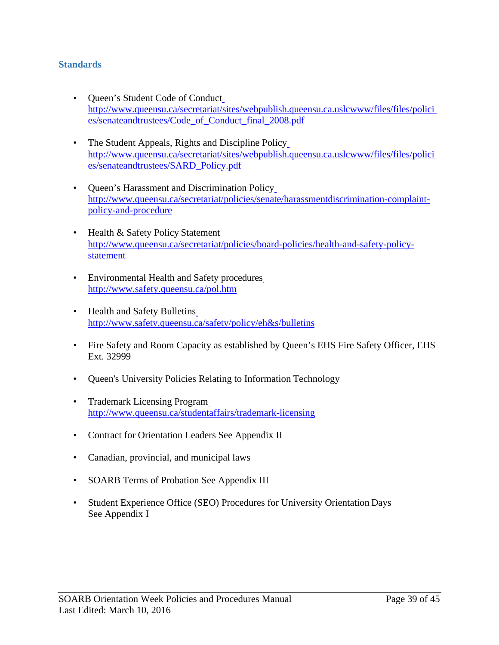## <span id="page-38-0"></span>**Standards**

- Queen's Student Code of Conduct [http://www.queensu.ca/secretariat/sites/webpublish.queensu.ca.uslcwww/files/files/polici](http://www.queensu.ca/secretariat/sites/webpublish.queensu.ca.uslcwww/files/files/policies/senateandtrustees/Code_of_Conduct_final_2008.pdf) [es/senateandtrustees/Code\\_of\\_Conduct\\_final\\_2008.pdf](http://www.queensu.ca/secretariat/sites/webpublish.queensu.ca.uslcwww/files/files/policies/senateandtrustees/Code_of_Conduct_final_2008.pdf)
- The Student Appeals, Rights and Discipline Policy [http://www.queensu.ca/secretariat/sites/webpublish.queensu.ca.uslcwww/files/files/polici](http://www.queensu.ca/secretariat/sites/webpublish.queensu.ca.uslcwww/files/files/policies/senateandtrustees/SARD_Policy.pdf) [es/senateandtrustees/SARD\\_Policy.pdf](http://www.queensu.ca/secretariat/sites/webpublish.queensu.ca.uslcwww/files/files/policies/senateandtrustees/SARD_Policy.pdf)
- Queen's Harassment and Discrimination Policy [http://www.queensu.ca/secretariat/policies/senate/harassmentdiscrimination-complaint](http://www.queensu.ca/secretariat/policies/senate/harassmentdiscrimination-complaint-policy-and-procedure)[policy-and-procedure](http://www.queensu.ca/secretariat/policies/senate/harassmentdiscrimination-complaint-policy-and-procedure)
- Health & Safety Policy Statement [http://www.queensu.ca/secretariat/policies/board-policies/health-and-safety-policy](http://www.queensu.ca/secretariat/policies/board-policies/health-and-safety-policy-statement)[statement](http://www.queensu.ca/secretariat/policies/board-policies/health-and-safety-policy-statement)
- Environmental Health and Safety procedures <http://www.safety.queensu.ca/pol.htm>
- Health and Safety Bulletins [http://www.safety.queensu.ca/safety/policy/eh&s/bulletins](http://www.safety.queensu.ca/safety/policy/eh%26s/bulletins)
- Fire Safety and Room Capacity as established by Queen's EHS Fire Safety Officer, EHS Ext. 32999
- Queen's University Policies Relating to Information Technology
- Trademark Licensing Program <http://www.queensu.ca/studentaffairs/trademark-licensing>
- Contract for Orientation Leaders See Appendix II
- Canadian, provincial, and municipal laws
- SOARB Terms of Probation See Appendix III
- Student Experience Office (SEO) Procedures for University Orientation Days See Appendix I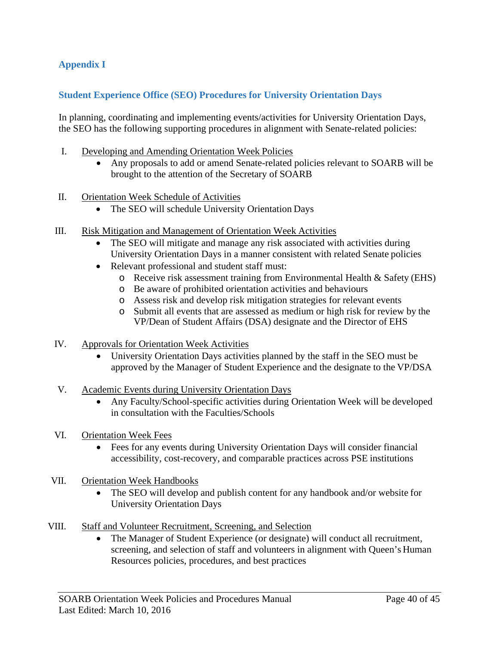# <span id="page-39-0"></span>**Appendix I**

## <span id="page-39-1"></span>**Student Experience Office (SEO) Procedures for University Orientation Days**

In planning, coordinating and implementing events/activities for University Orientation Days, the SEO has the following supporting procedures in alignment with Senate-related policies:

- I. Developing and Amending Orientation Week Policies
	- Any proposals to add or amend Senate-related policies relevant to SOARB will be brought to the attention of the Secretary of SOARB
- II. Orientation Week Schedule of Activities
	- The SEO will schedule University Orientation Days
- III. Risk Mitigation and Management of Orientation Week Activities
	- The SEO will mitigate and manage any risk associated with activities during University Orientation Days in a manner consistent with related Senate policies
	- Relevant professional and student staff must:
		- o Receive risk assessment training from Environmental Health & Safety (EHS)
		- o Be aware of prohibited orientation activities and behaviours
		- o Assess risk and develop risk mitigation strategies for relevant events
		- o Submit all events that are assessed as medium or high risk for review by the VP/Dean of Student Affairs (DSA) designate and the Director of EHS
- IV. Approvals for Orientation Week Activities
	- University Orientation Days activities planned by the staff in the SEO must be approved by the Manager of Student Experience and the designate to the VP/DSA
- V. Academic Events during University Orientation Days
	- Any Faculty/School-specific activities during Orientation Week will be developed in consultation with the Faculties/Schools
- VI. Orientation Week Fees
	- Fees for any events during University Orientation Days will consider financial accessibility, cost-recovery, and comparable practices across PSE institutions
- VII. Orientation Week Handbooks
	- The SEO will develop and publish content for any handbook and/or website for University Orientation Days
- VIII. Staff and Volunteer Recruitment, Screening, and Selection
	- The Manager of Student Experience (or designate) will conduct all recruitment, screening, and selection of staff and volunteers in alignment with Queen's Human Resources policies, procedures, and best practices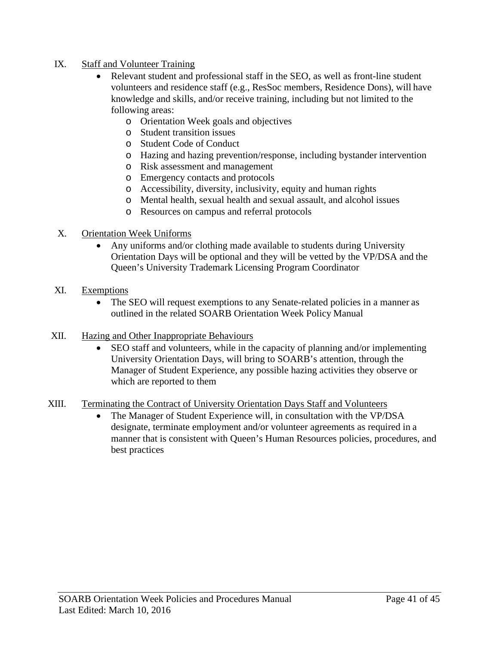## IX. Staff and Volunteer Training

- Relevant student and professional staff in the SEO, as well as front-line student volunteers and residence staff (e.g., ResSoc members, Residence Dons), will have knowledge and skills, and/or receive training, including but not limited to the following areas:
	- o Orientation Week goals and objectives
	- o Student transition issues
	- o Student Code of Conduct
	- o Hazing and hazing prevention/response, including bystander intervention
	- o Risk assessment and management
	- o Emergency contacts and protocols
	- o Accessibility, diversity, inclusivity, equity and human rights
	- o Mental health, sexual health and sexual assault, and alcohol issues
	- o Resources on campus and referral protocols

## X. Orientation Week Uniforms

• Any uniforms and/or clothing made available to students during University Orientation Days will be optional and they will be vetted by the VP/DSA and the Queen's University Trademark Licensing Program Coordinator

## XI. Exemptions

- The SEO will request exemptions to any Senate-related policies in a manner as outlined in the related SOARB Orientation Week Policy Manual
- XII. Hazing and Other Inappropriate Behaviours
	- SEO staff and volunteers, while in the capacity of planning and/or implementing University Orientation Days, will bring to SOARB's attention, through the Manager of Student Experience, any possible hazing activities they observe or which are reported to them

# XIII. Terminating the Contract of University Orientation Days Staff and Volunteers

• The Manager of Student Experience will, in consultation with the VP/DSA designate, terminate employment and/or volunteer agreements as required in a manner that is consistent with Queen's Human Resources policies, procedures, and best practices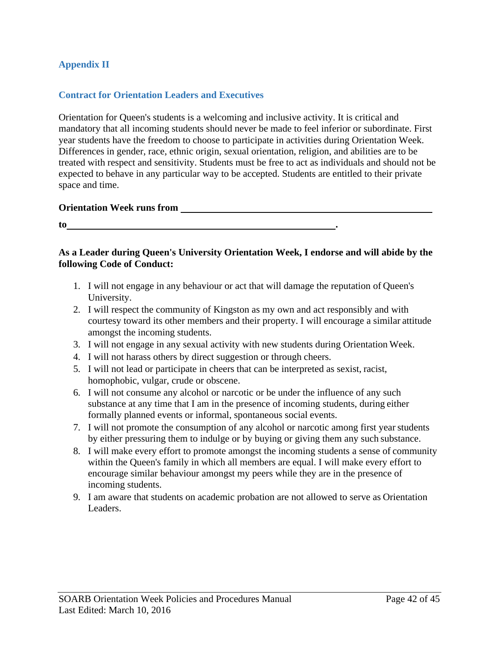## <span id="page-41-0"></span>**Appendix II**

## <span id="page-41-1"></span>**Contract for Orientation Leaders and Executives**

Orientation for Queen's students is a welcoming and inclusive activity. It is critical and mandatory that all incoming students should never be made to feel inferior or subordinate. First year students have the freedom to choose to participate in activities during Orientation Week. Differences in gender, race, ethnic origin, sexual orientation, religion, and abilities are to be treated with respect and sensitivity. Students must be free to act as individuals and should not be expected to behave in any particular way to be accepted. Students are entitled to their private space and time.

## **Orientation Week runs from**

**to .**

## **As a Leader during Queen's University Orientation Week, I endorse and will abide by the following Code of Conduct:**

- 1. I will not engage in any behaviour or act that will damage the reputation of Queen's University.
- 2. I will respect the community of Kingston as my own and act responsibly and with courtesy toward its other members and their property. I will encourage a similar attitude amongst the incoming students.
- 3. I will not engage in any sexual activity with new students during Orientation Week.
- 4. I will not harass others by direct suggestion or through cheers.
- 5. I will not lead or participate in cheers that can be interpreted as sexist, racist, homophobic, vulgar, crude or obscene.
- 6. I will not consume any alcohol or narcotic or be under the influence of any such substance at any time that I am in the presence of incoming students, during either formally planned events or informal, spontaneous social events.
- 7. I will not promote the consumption of any alcohol or narcotic among first yearstudents by either pressuring them to indulge or by buying or giving them any such substance.
- 8. I will make every effort to promote amongst the incoming students a sense of community within the Queen's family in which all members are equal. I will make every effort to encourage similar behaviour amongst my peers while they are in the presence of incoming students.
- 9. I am aware that students on academic probation are not allowed to serve as Orientation Leaders.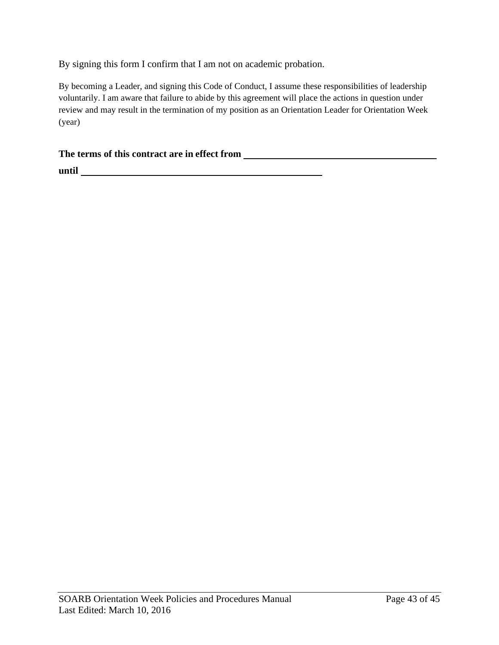By signing this form I confirm that I am not on academic probation.

By becoming a Leader, and signing this Code of Conduct, I assume these responsibilities of leadership voluntarily. I am aware that failure to abide by this agreement will place the actions in question under review and may result in the termination of my position as an Orientation Leader for Orientation Week (year)

## **The terms of this contract are in effect from**

**until**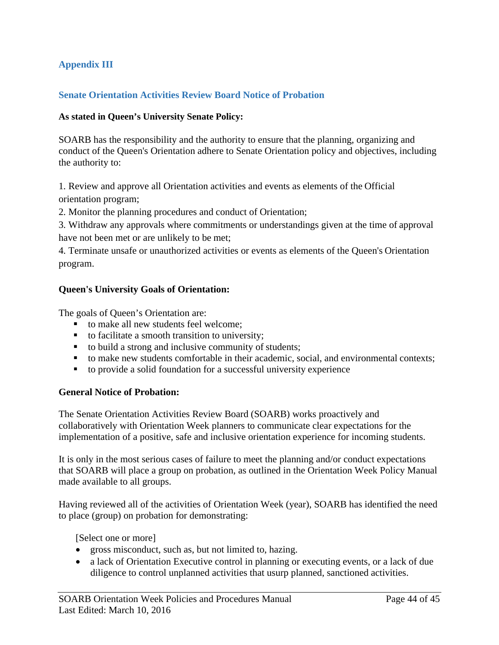# <span id="page-43-0"></span>**Appendix III**

## <span id="page-43-1"></span>**Senate Orientation Activities Review Board Notice of Probation**

#### **As stated in Queen's University Senate Policy:**

SOARB has the responsibility and the authority to ensure that the planning, organizing and conduct of the Queen's Orientation adhere to Senate Orientation policy and objectives, including the authority to:

1. Review and approve all Orientation activities and events as elements of the Official orientation program;

2. Monitor the planning procedures and conduct of Orientation;

3. Withdraw any approvals where commitments or understandings given at the time of approval have not been met or are unlikely to be met;

4. Terminate unsafe or unauthorized activities or events as elements of the Queen's Orientation program.

#### **Queen's University Goals of Orientation:**

The goals of Queen's Orientation are:

- to make all new students feel welcome:
- $\blacksquare$  to facilitate a smooth transition to university;
- to build a strong and inclusive community of students;
- to make new students comfortable in their academic, social, and environmental contexts;
- to provide a solid foundation for a successful university experience

#### **General Notice of Probation:**

The Senate Orientation Activities Review Board (SOARB) works proactively and collaboratively with Orientation Week planners to communicate clear expectations for the implementation of a positive, safe and inclusive orientation experience for incoming students.

It is only in the most serious cases of failure to meet the planning and/or conduct expectations that SOARB will place a group on probation, as outlined in the Orientation Week Policy Manual made available to all groups.

Having reviewed all of the activities of Orientation Week (year), SOARB has identified the need to place (group) on probation for demonstrating:

[Select one or more]

- gross misconduct, such as, but not limited to, hazing.
- a lack of Orientation Executive control in planning or executing events, or a lack of due diligence to control unplanned activities that usurp planned, sanctioned activities.